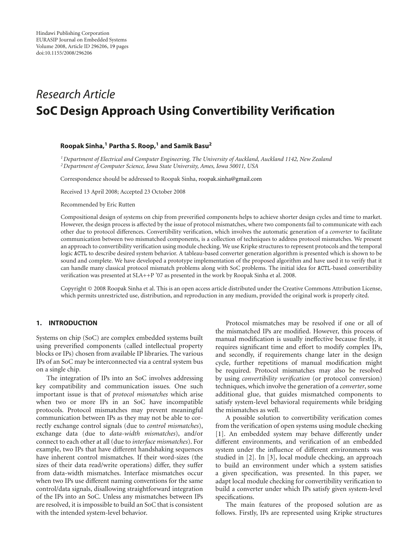# *Research Article* **SoC Design Approach Using Convertibility Verification**

# **Roopak Sinha,1 Partha S. Roop,1 and Samik Basu2**

*1Department of Electrical and Computer Engineering, The University of Auckland, Auckland 1142, New Zealand 2Department of Computer Science, Iowa State University, Ames, Iowa 50011, USA*

Correspondence should be addressed to Roopak Sinha, roopak.sinha@gmail.com

Received 13 April 2008; Accepted 23 October 2008

Recommended by Eric Rutten

Compositional design of systems on chip from preverified components helps to achieve shorter design cycles and time to market. However, the design process is affected by the issue of protocol mismatches, where two components fail to communicate with each other due to protocol differences. Convertibility verification, which involves the automatic generation of a *converter* to facilitate communication between two mismatched components, is a collection of techniques to address protocol mismatches. We present an approach to convertibility verification using module checking. We use Kripke structures to represent protocols and the temporal logic ACTL to describe desired system behavior. A tableau-based converter generation algorithm is presented which is shown to be sound and complete. We have developed a prototype implementation of the proposed algorithm and have used it to verify that it can handle many classical protocol mismatch problems along with SoC problems. The initial idea for ACTL-based convertibility verification was presented at SLA++P '07 as presented in the work by Roopak Sinha et al. 2008.

Copyright © 2008 Roopak Sinha et al. This is an open access article distributed under the Creative Commons Attribution License, which permits unrestricted use, distribution, and reproduction in any medium, provided the original work is properly cited.

# **1. INTRODUCTION**

Systems on chip (SoC) are complex embedded systems built using preverified components (called intellectual property blocks or IPs) chosen from available IP libraries. The various IPs of an SoC may be interconnected via a central system bus on a single chip.

The integration of IPs into an SoC involves addressing key compatibility and communication issues. One such important issue is that of *protocol mismatches* which arise when two or more IPs in an SoC have incompatible protocols. Protocol mismatches may prevent meaningful communication between IPs as they may not be able to correctly exchange control signals (due to *control mismatches*), exchange data (due to *data-width mismatches*), and/or connect to each other at all (due to *interface mismatches*). For example, two IPs that have different handshaking sequences have inherent control mismatches. If their word-sizes (the sizes of their data read/write operations) differ, they suffer from data-width mismatches. Interface mismatches occur when two IPs use different naming conventions for the same control/data signals, disallowing straightforward integration of the IPs into an SoC. Unless any mismatches between IPs are resolved, it is impossible to build an SoC that is consistent with the intended system-level behavior.

Protocol mismatches may be resolved if one or all of the mismatched IPs are modified. However, this process of manual modification is usually ineffective because firstly, it requires significant time and effort to modify complex IPs, and secondly, if requirements change later in the design cycle, further repetitions of manual modification might be required. Protocol mismatches may also be resolved by using *convertibility verification* (or protocol conversion) techniques, which involve the generation of a *converter*, some additional glue, that guides mismatched components to satisfy system-level behavioral requirements while bridging the mismatches as well.

A possible solution to convertibility verification comes from the verification of open systems using module checking [1]. An embedded system may behave differently under different environments, and verification of an embedded system under the influence of different environments was studied in [2]. In [3], local module checking, an approach to build an environment under which a system satisfies a given specification, was presented. In this paper, we adapt local module checking for convertibility verification to build a converter under which IPs satisfy given system-level specifications.

The main features of the proposed solution are as follows. Firstly, IPs are represented using Kripke structures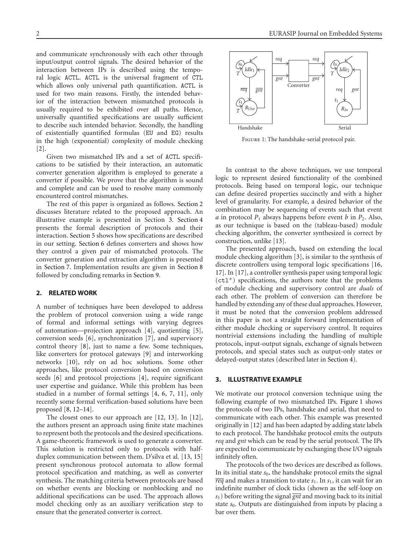and communicate synchronously with each other through input/output control signals. The desired behavior of the interaction between IPs is described using the temporal logic ACTL. ACTL is the universal fragment of CTL which allows only universal path quantification. ACTL is used for two main reasons. Firstly, the intended behavior of the interaction between mismatched protocols is usually required to be exhibited over all paths. Hence, universally quantified specifications are usually sufficient to describe such intended behavior. Secondly, the handling of existentially quantified formulas (EU and EG) results in the high (exponential) complexity of module checking [2].

Given two mismatched IPs and a set of ACTL specifications to be satisfied by their interaction, an automatic converter generation algorithm is employed to generate a converter if possible. We prove that the algorithm is sound and complete and can be used to resolve many commonly encountered control mismatches.

The rest of this paper is organized as follows. Section 2 discusses literature related to the proposed approach. An illustrative example is presented in Section 3. Section 4 presents the formal description of protocols and their interaction. Section 5 shows how specifications are described in our setting. Section 6 defines converters and shows how they control a given pair of mismatched protocols. The converter generation and extraction algorithm is presented in Section 7. Implementation results are given in Section 8 followed by concluding remarks in Section 9.

# **2. RELATED WORK**

A number of techniques have been developed to address the problem of protocol conversion using a wide range of formal and informal settings with varying degrees of automation—projection approach [4], quotienting [5], conversion seeds [6], synchronization [7], and supervisory control theory [8], just to name a few. Some techniques, like converters for protocol gateways [9] and interworking networks [10], rely on ad hoc solutions. Some other approaches, like protocol conversion based on conversion seeds [6] and protocol projections [4], require significant user expertise and guidance. While this problem has been studied in a number of formal settings [4, 6, 7, 11], only recently some formal verification-based solutions have been proposed [8, 12–14].

The closest ones to our approach are [12, 13]. In [12], the authors present an approach using finite state machines to represent both the protocols and the desired specifications. A game-theoretic framework is used to generate a converter. This solution is restricted only to protocols with halfduplex communication between them. D'silva et al. [13, 15] present synchronous protocol automata to allow formal protocol specification and matching, as well as converter synthesis. The matching criteria between protocols are based on whether events are blocking or nonblocking and no additional specifications can be used. The approach allows model checking only as an auxiliary verification step to ensure that the generated converter is correct.



Figure 1: The handshake-serial protocol pair.

In contrast to the above techniques, we use temporal logic to represent desired functionality of the combined protocols. Being based on temporal logic, our technique can define desired properties succinctly and with a higher level of granularity. For example, a desired behavior of the combination may be sequencing of events such that event  $a$  in protocol  $P_1$  always happens before event  $b$  in  $P_2$ . Also, as our technique is based on the (tableau-based) module checking algorithm, the converter synthesized is correct by construction, unlike [13].

The presented approach, based on extending the local module checking algorithm [3], is similar to the synthesis of discrete controllers using temporal logic specifications [16, 17]. In [17], a controller synthesis paper using temporal logic (ctl∗) specifications, the authors note that the problems of module checking and supervisory control are *duals* of each other. The problem of conversion can therefore be handled by extending any of these dual approaches. However, it must be noted that the conversion problem addressed in this paper is not a straight forward implementation of either module checking or supervisory control. It requires nontrivial extensions including the handling of multiple protocols, input-output signals, exchange of signals between protocols, and special states such as output-only states or delayed-output states (described later in Section 4).

## **3. ILLUSTRATIVE EXAMPLE**

We motivate our protocol conversion technique using the following example of two mismatched IPs. Figure 1 shows the protocols of two IPs, handshake and serial, that need to communicate with each other. This example was presented originally in [12] and has been adapted by adding state labels to each protocol. The handshake protocol emits the outputs *req* and *gnt* which can be read by the serial protocol. The IPs are expected to communicate by exchanging these I/O signals infinitely often.

The protocols of the two devices are described as follows. In its initial state  $s_0$ , the handshake protocol emits the signal *req* and makes a transition to state *s*1. In *s*1, it can wait for an indefinite number of clock ticks (shown as the self-loop on *s*1) before writing the signal *gnt* and moving back to its initial state *s*<sub>0</sub>. Outputs are distinguished from inputs by placing a bar over them.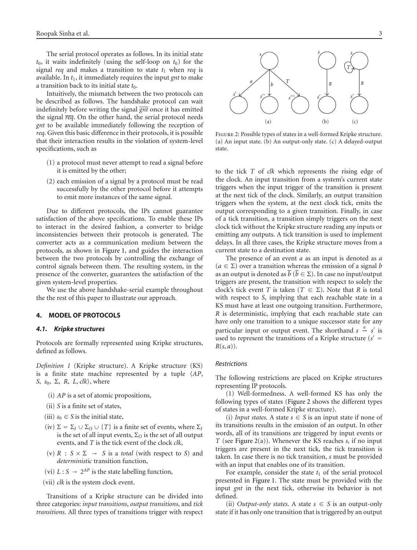The serial protocol operates as follows. In its initial state  $t_0$ , it waits indefinitely (using the self-loop on  $t_0$ ) for the signal *req* and makes a transition to state  $t_1$  when *req* is available. In *t*1, it immediately requires the input *gnt* to make a transition back to its initial state  $t_0$ .

Intuitively, the mismatch between the two protocols can be described as follows. The handshake protocol can wait indefinitely before writing the signal *gnt* once it has emitted the signal *req*. On the other hand, the serial protocol needs *gnt* to be available immediately following the reception of *req*. Given this basic difference in their protocols, it is possible that their interaction results in the violation of system-level specifications, such as

- (1) a protocol must never attempt to read a signal before it is emitted by the other;
- (2) each emission of a signal by a protocol must be read successfully by the other protocol before it attempts to emit more instances of the same signal.

Due to different protocols, the IPs cannot guarantee satisfaction of the above specifications. To enable these IPs to interact in the desired fashion, a converter to bridge inconsistencies between their protocols is generated. The converter acts as a communication medium between the protocols, as shown in Figure 1, and guides the interaction between the two protocols by controlling the exchange of control signals between them. The resulting system, in the presence of the converter, guarantees the satisfaction of the given system-level properties.

We use the above handshake-serial example throughout the the rest of this paper to illustrate our approach.

# **4. MODEL OF PROTOCOLS**

# *4.1. Kripke structures*

Protocols are formally represented using Kripke structures, defined as follows.

*Definition 1* (Kripke structure). A Kripke structure (KS) is a finite state machine represented by a tuple *AP*, *S*, *s*0, Σ, *R*, *L*, *clk*, where

- (i) *AP* is a set of atomic propositions,
- (ii) *S* is a finite set of states,
- (iii)  $s_0 \in S$  is the initial state,
- (iv)  $\Sigma = \Sigma_I \cup \Sigma_O \cup \{T\}$  is a finite set of events, where  $\Sigma_I$ is the set of all input events, Σ*<sup>O</sup>* is the set of all output events, and *T* is the tick event of the clock *clk*,
- (v)  $R : S \times \Sigma \rightarrow S$  is a *total* (with respect to *S*) and *deterministic* transition function,
- (vi)  $L: S \rightarrow 2^{AP}$  is the state labelling function,
- (vii) *clk* is the system clock event.

Transitions of a Kripke structure can be divided into three categories: *input transitions*, *output transitions*, and *tick transitions*. All three types of transitions trigger with respect



Figure 2: Possible types of states in a well-formed Kripke structure. (a) An input state. (b) An output-only state. (c) A delayed-output state.

to the tick *T* of *clk* which represents the rising edge of the clock. An input transition from a system's current state triggers when the input trigger of the transition is present at the next tick of the clock. Similarly, an output transition triggers when the system, at the next clock tick, emits the output corresponding to a given transition. Finally, in case of a tick transition, a transition simply triggers on the next clock tick without the Kripke structure reading any inputs or emitting any outputs. A tick transition is used to implement delays. In all three cases, the Kripke structure moves from a current state to a destination state.

The presence of an event *a* as an input is denoted as *a*  $(a \in \Sigma)$  over a transition whereas the emission of a signal *b* as an output is denoted as  $\overline{b}$  ( $\overline{b} \in \Sigma$ ). In case no input/output triggers are present, the transition with respect to solely the clock's tick event *T* is taken ( $T \in \Sigma$ ). Note that *R* is total with respect to *S*, implying that each reachable state in a KS must have at least one outgoing transition. Furthermore, *R* is deterministic, implying that each reachable state can have only one transition to a unique successor state for any particular input or output event. The shorthand  $s \stackrel{a}{\rightarrow} s'$  is used to represent the transitions of a Kripke structure  $(s' =$  $R(s, a)$ .

# *Restrictions*

The following restrictions are placed on Kripke structures representing IP protocols.

(1) Well-formedness. A well-formed KS has only the following types of states (Figure 2 shows the different types of states in a well-formed Kripke structure).

(i) *Input states*. A state  $s \in S$  is an input state if none of its transitions results in the emission of an output. In other words, all of its transitions are triggered by input events or *T* (see Figure 2(a)). Whenever the KS reaches *s*, if no input triggers are present in the next tick, the tick transition is taken. In case there is no tick transition, *s* must be provided with an input that enables one of its transition.

For example, consider the state  $t_1$  of the serial protocol presented in Figure 1. The state must be provided with the input *gnt* in the next tick, otherwise its behavior is not defined.

(ii) *Output-only states*. A state  $s \in S$  is an output-only state if it has only one transition that is triggered by an output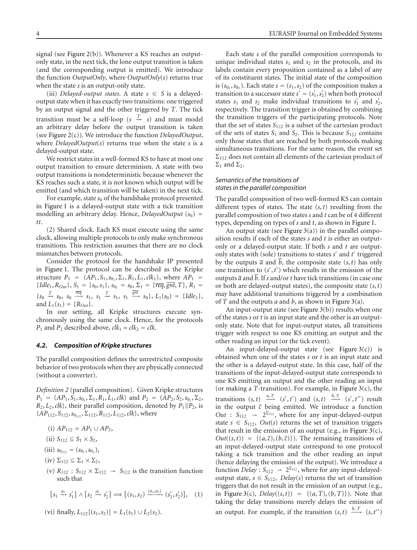signal (see Figure 2(b)). Whenever a KS reaches an outputonly state, in the next tick, the lone output transition is taken (and the corresponding output is emitted). We introduce the function *OutputOnly*, where *OutputOnly*(*s*) returns true when the state *s* is an output-only state.

(iii) *Delayed-output states*. A state  $s \in S$  is a delayedoutput state when it has exactly two transitions: one triggered by an output signal and the other triggered by *T*. The tick transition must be a self-loop  $(s \rightarrow s)$  and must model an arbitrary delay before the output transition is taken (see Figure 2(c)). We introduce the function *DelayedOutput*, where *DelayedOutput*(*s*) returns true when the state *s* is a delayed-output state.

We restrict states in a well-formed KS to have at most one output transition to ensure determinism. A state with two output transitions is nondeterministic because whenever the KS reaches such a state, it is not known which output will be emitted (and which transition will be taken) in the next tick.

For example, state  $s_0$  of the handshake protocol presented in Figure 1 is a delayed-output state with a tick transition modelling an arbitrary delay. Hence, *DelayedOutput*  $(s_0)$  = *tt*.

(2) Shared clock. Each KS must execute using the same clock, allowing multiple protocols to only make synchronous transitions. This restriction assumes that there are no clock mismatches between protocols.

Consider the protocol for the handshake IP presented in Figure 1. The protocol can be described as the Kripke structure  $P_1 = \langle AP_1, S_1, s_{0_1}, \Sigma_1, R_1, L_1, c l k_1 \rangle$ , where  $AP_1$  ${Idle_1, R_{Out}}, S_1 = {s_0, s_1}, s_{0_1} = s_0, \Sigma_1 = {r \overline{eq}, \overline{gnt}}, T$ ,  $R_1 =$  ${s_0 \xrightarrow{T} s_0, s_0 \xrightarrow{\overline{req}} s_1, s_1 \xrightarrow{T} s_1, s_1 \xrightarrow{\overline{gnt}} s_0}, L_1(s_0) = \{Idle_1\},$ and  $L_1(s_1) = \{R_{Out}\}.$ 

In our setting, all Kripke structures execute synchronously using the same clock. Hence, for the protocols  $P_1$  and  $P_2$  described above,  $clk_1 =clk_2 =clk$ .

#### *4.2. Composition of Kripke structures*

The parallel composition defines the unrestricted composite behavior of two protocols when they are physically connected (without a converter).

*Definition 2* (parallel composition). Given Kripke structures  $P_1 = \langle AP_1, S_1, s_{0_1}, \Sigma_1, R_1, L_1, c\mathbb{I}k \rangle$  and  $P_2 = \langle AP_2, S_2, s_{0_2}, \Sigma_2, R_1, L_2, c\mathbb{I}k \rangle$  $R_2, L_2, c\ell k$ , their parallel composition, denoted by  $P_1 \parallel P_2$ , is  $\langle AP_{1\parallel 2}, S_{1\parallel 2}, s_{0\perp 2}, \Sigma_{1\parallel 2}, R_{1\parallel 2}, L_{1\parallel 2}, c\right]$ , where

(i) 
$$
AP_{1\parallel 2} = AP_1 \cup AP_2
$$
,

(ii) 
$$
S_{1\parallel 2} \subseteq S_1 \times S_2
$$
,

- (iii)  $s_{0_{1|2}} = (s_{0_1}, s_{0_2}),$
- (iv)  $\Sigma_{1\parallel2} \subseteq \Sigma_1 \times \Sigma_2$ ,
- (v)  $R_{1\parallel 2}$ :  $S_{1\parallel 2} \times \Sigma_{1\parallel 2} \rightarrow S_{1\parallel 2}$  is the transition function such that

$$
[s_1 \xrightarrow{\sigma_1} s'_1] \wedge [s_2 \xrightarrow{\sigma_2} s'_2] \Longrightarrow [(s_1, s_2) \xrightarrow{(\sigma_1, \sigma_2)} (s'_1, s'_2)], \quad (1)
$$

(vi) finally, 
$$
L_{1\parallel 2}[(s_1, s_2)] = L_1(s_1) \cup L_2(s_2)
$$
.

Each state *s* of the parallel composition corresponds to unique individual states  $s_1$  and  $s_2$  in the protocols, and its labels contain every proposition contained as a label of any of its constituent states. The initial state of the composition is  $(s_{0_1}, s_{0_2})$ . Each state  $s = (s_1, s_2)$  of the composition makes a transition to a successor state  $s' = (s'_1, s'_2)$  when both protocol states  $s_1$  and  $s_2$  make individual transitions to  $s'_1$  and  $s'_2$ , respectively. The transition trigger is obtained by combining the transition triggers of the participating protocols. Note that the set of states  $S_{1||2}$  is a subset of the cartesian product of the sets of states  $S_1$  and  $S_2$ . This is because  $S_{1\parallel 2}$  contains only those states that are reached by both protocols making simultaneous transitions. For the same reason, the event set  $\Sigma_{1\parallel 2}$  does not contain all elements of the cartesian product of  $\Sigma_1$  and  $\Sigma_2$ .

# *Semantics of the transitions of states in the parallel composition*

The parallel composition of two well-formed KS can contain different types of states. The state (*s*,*t*) resulting from the parallel composition of two states *s* and *t* can be of 4 different types, depending on types of *s* and *t*, as shown in Figure 1.

An output state (see Figure  $3(a)$ ) in the parallel composition results if each of the states *s* and *t* is either an outputonly or a delayed-output state. If both *s* and *t* are outputonly states with (sole) transitions to states *s'* and *t'* triggered by the outputs  $\bar{a}$  and  $\bar{b}$ , the composite state  $(s, t)$  has only one transition to  $(s', t')$  which results in the emission of the outputs *a* and *b*. If *s* and/or *t* have tick transitions (in case one or both are delayed-output states), the composite state (*s*,*t*) may have additional transitions triggered by a combination of *T* and the outputs *a* and *b*, as shown in Figure 3(a).

An input-output state (see Figure 3(b)) results when one of the states *s* or *t* is an input state and the other is an outputonly state. Note that for input-output states, all transitions trigger with respect to one KS emitting an output and the other reading an input (or the tick event).

An input-delayed-output state (see Figure  $3(c)$ ) is obtained when one of the states *s* or *t* is an input state and the other is a delayed-output state. In this case, half of the transitions of the input-delayed-output state corresponds to one KS emitting an output and the other reading an input (or making a *T*-transition). For example, in Figure 3(c), the transitions  $(s, t) \xrightarrow{a, \overline{c}} (s', t')$  and  $(s, t) \xrightarrow{b, \overline{c}} (s', t'')$  result in the output  $\bar{c}$  being emitted. We introduce a function *Out* :  $S_{1\parallel 2}$   $\rightarrow$   $2^{\Sigma_{1\parallel 2}}$ , where for any input-delayed-output state  $s \in S_{1\parallel 2}$ , *Out(s)* returns the set of transition triggers that result in the emission of an output (e.g., in Figure  $3(c)$ ,  $Out((s,t)) = \{(a,\overline{c}), (b,\overline{c})\}$ . The remaining transitions of an input-delayed-output state correspond to one protocol taking a tick transition and the other reading an input (hence delaying the emission of the output). We introduce a function *Delay* :  $S_{1||2} \rightarrow 2^{\Sigma_{1||2}}$ , where for any input-delayedoutput state,  $s \in S_{1|2}$ , *Delay(s)* returns the set of transition triggers that do not result in the emission of an output (e.g., in Figure 3(c), *Delay*((*s*,*t*)) = {(*a*,*T*), (*b*,*T*)}). Note that taking the delay transitions merely delays the emission of an output. For example, if the transition  $(s, t) \xrightarrow{b, T} (s, t')$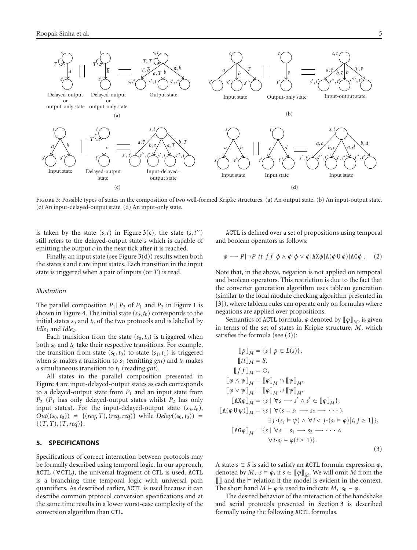

Figure 3: Possible types of states in the composition of two well-formed Kripke structures. (a) An output state. (b) An input-output state. (c) An input-delayed-output state. (d) An input-only state.

is taken by the state  $(s, t)$  in Figure 3(c), the state  $(s, t'')$ still refers to the delayed-output state *s* which is capable of emitting the output  $\bar{c}$  in the next tick after it is reached.

Finally, an input state (see Figure  $3(d)$ ) results when both the states *s* and *t* are input states. Each transition in the input state is triggered when a pair of inputs (or *T*) is read.

## *Illustration*

The parallel composition  $P_1 \parallel P_2$  of  $P_1$  and  $P_2$  in Figure 1 is shown in Figure 4. The initial state  $(s_0, t_0)$  corresponds to the initial states  $s_0$  and  $t_0$  of the two protocols and is labelled by *Idle*<sup>1</sup> and *Idle*2.

Each transition from the state  $(s_0, t_0)$  is triggered when both  $s_0$  and  $t_0$  take their respective transitions. For example, the transition from state  $(s_0, t_0)$  to state  $(s_1, t_1)$  is triggered when  $s_0$  makes a transition to  $s_1$  (emitting  $\overline{gnt}$ ) and  $t_0$  makes a simultaneous transition to  $t_1$  (reading *gnt*).

All states in the parallel composition presented in Figure 4 are input-delayed-output states as each corresponds to a delayed-output state from  $P_1$  and an input state from *P*<sup>2</sup> (*P*<sup>1</sup> has only delayed-output states whilst *P*<sup>2</sup> has only input states). For the input-delayed-output state  $(s_0, t_0)$ ,  $Out((s_0, t_0)) = \{(\overline{req}, T), (\overline{req}, \overline{req})\}$  while  $Delay((s_0, t_0)) =$ {(*T*,*T*), (*T*,*req*)}.

# **5. SPECIFICATIONS**

Specifications of correct interaction between protocols may be formally described using temporal logic. In our approach, ACTL (∀CTL), the universal fragment of CTL is used. ACTL is a branching time temporal logic with universal path quantifiers. As described earlier, ACTL is used because it can describe common protocol conversion specifications and at the same time results in a lower worst-case complexity of the conversion algorithm than CTL.

ACTL is defined over a set of propositions using temporal and boolean operators as follows:

$$
\phi \longrightarrow P|\neg P|tt|f f|\phi \wedge \phi|\phi \vee \phi|AX\phi|A(\phi\cup\phi)|AG\phi|. \quad (2)
$$

Note that, in the above, negation is not applied on temporal and boolean operators. This restriction is due to the fact that the converter generation algorithm uses tableau generation (similar to the local module checking algorithm presented in [3]), where tableau rules can operate only on formulas where negations are applied over propositions.

Semantics of ACTL formula,  $\varphi$  denoted by  $[\![\varphi]\!]_M$ , is given in terms of the set of states in Kripke structure, *M*, which satisfies the formula (see (3)):

$$
[\![p]\!]_M = \{s \mid p \in L(s)\},
$$
  
\n
$$
[[\![t]\!]_M = S,
$$
  
\n
$$
[[\![f]\!]_M = \emptyset,
$$
  
\n
$$
[[\![\varphi \wedge \psi]\!]_M = [[\![\varphi]\!]_M \cap [[\psi]\!]_M,
$$
  
\n
$$
[[\![\varphi \vee \psi]\!]_M = [\![\varphi]\!]_M \cup [[\psi]\!]_M,
$$
  
\n
$$
[[\![\![A\mathbf{x}\varphi]\!]_M = \{s \mid \forall s \longrightarrow s' \land s' \in [[\varphi]\!]_M\},
$$
  
\n
$$
[[\![A(\varphi \cup \psi)]\!]_M = \{s \mid \forall (s = s_1 \longrightarrow s_2 \longrightarrow \cdots),
$$
  
\n
$$
\exists j \cdot (s_j \models \psi) \land \forall i < j \cdot (s_i \models \varphi)[i, j \ge 1]\},
$$
  
\n
$$
[[\![\![A\mathbf{G}\varphi]\!]_M = \{s \mid \forall s = s_1 \longrightarrow s_2 \longrightarrow \cdots \land
$$
  
\n
$$
\forall i \cdot s_i \models \varphi(i \ge 1)\}.
$$
  
\n(3)

A state  $s \in S$  is said to satisfy an ACTL formula expression  $\varphi$ , denoted by *M*,  $s \models \varphi$ , if  $s \in [\![\varphi]\!]_M$ . We will omit *M* from the  $\llbracket \rrbracket$  and the  $\models$  relation if the model is evident in the context. The short hand  $M \models \varphi$  is used to indicate  $M$ ,  $s_0 \models \varphi$ .

The desired behavior of the interaction of the handshake and serial protocols presented in Section 3 is described formally using the following ACTL formulas.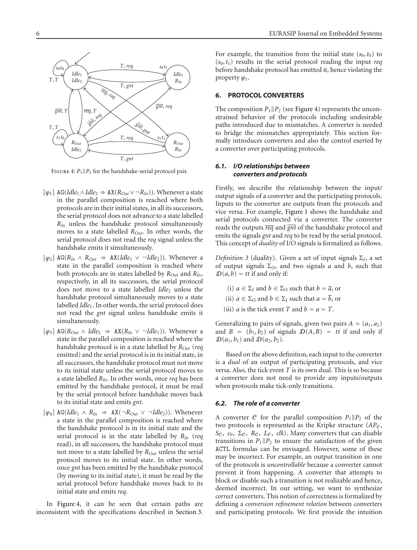

FIGURE 4:  $P_1 \parallel P_2$  for the handshake-serial protocol pair.

- [*ϕ*1] AG(*Idle*1∧*Idle*<sup>2</sup> ⇒ AX(*ROut*∨¬*RIn*)). Whenever a state in the parallel composition is reached where both protocols are in their initial states, in all its successors, the serial protocol does not advance to a state labelled *RIn* unless the handshake protocol simultaneously moves to a state labelled *ROut*. In other words, the serial protocol does not read the *req* signal unless the handshake emits it simultaneously.
- $[\varphi_2]$  AG( $R_{In} \wedge R_{Out} \Rightarrow$  AX(*Idle*<sub>1</sub>  $\vee \neg$ *Idle*<sub>2</sub>)). Whenever a state in the parallel composition is reached where both protocols are in states labelled by *ROut* and *RIn*, respectively, in all its successors, the serial protocol does not move to a state labelled *Idle*<sub>2</sub> unless the handshake protocol simultaneously moves to a state labelled *Idle*1. In other words, the serial protocol does not read the *gnt* signal unless handshake emits it simultaneously.
- [ $\varphi_3$ ] AG( $R_{Out}$  ∧ *Idle*<sub>2</sub> ⇒ AX( $R_{In}$  ∨ ¬*Idle*<sub>1</sub>)). Whenever a state in the parallel composition is reached where the handshake protocol is in a state labelled by *ROut* (*req* emitted) and the serial protocol is in its initial state, in all successors, the handshake protocol must not move to its initial state unless the serial protocol moves to a state labelled *RIn*. In other words, once *req* has been emitted by the handshake protocol, it must be read by the serial protocol before handshake moves back to its initial state and emits *gnt*.
- [*ϕ*4] AG(*Idle*<sup>1</sup> ∧ *RIn* ⇒ AX(¬*ROut* ∨ ¬*Idle*2)). Whenever a state in the parallel composition is reached where the handshake protocol is in its initial state and the serial protocol is in the state labelled by *RIn* (*req* read), in all successors, the handshake protocol must not move to a state labelled by *ROut* unless the serial protocol moves to its initial state. In other words, once *gnt* has been emitted by the handshake protocol (by moving to its initial state), it must be read by the serial protocol before handshake moves back to its initial state and emits *req*.

In Figure 4, it can be seen that certain paths are inconsistent with the specifications described in Section 3.

For example, the transition from the initial state  $(s_0, t_0)$  to  $(s_0, t_1)$  results in the serial protocol reading the input *req* before handshake protocol has emitted it, hence violating the property *ϕ*1.

# **6. PROTOCOL CONVERTERS**

The composition  $P_1 \parallel P_2$  (see Figure 4) represents the unconstrained behavior of the protocols including undesirable paths introduced due to mismatches. A converter is needed to bridge the mismatches appropriately. This section formally introduces converters and also the control exerted by a converter over participating protocols.

# *6.1. I/O relationships between converters and protocols*

Firstly, we describe the relationship between the input/ output signals of a converter and the participating protocols. Inputs to the converter are outputs from the protocols and vice versa. For example, Figure 1 shows the handshake and serial protocols connected via a converter. The converter reads the outputs *req* and *gnt* of the handshake protocol and emits the signals *gnt* and *req* to be read by the serial protocol. This concept of *duality* of I/O signals is formalized as follows.

*Definition 3* (duality). Given a set of input signals  $\Sigma_I$ , a set of output signals Σ*O*, and two signals *a* and *b*, such that  $D(a, b) = tt$  if and only if:

- (i)  $a \in \Sigma_I$  and  $b \in \Sigma_O$  such that  $b = \overline{a}$ , or
- (ii)  $a \in \Sigma_0$  and  $b \in \Sigma_l$  such that  $a = \overline{b}$ , or
- (iii) *a* is the tick event *T* and  $b = a = T$ .

Generalizing to pairs of signals, given two pairs  $A = (a_1, a_2)$ and  $B = (b_1, b_2)$  of signals  $\mathcal{D}(A, B) = tt$  if and only if  $\mathcal{D}(a_1, b_1)$  and  $\mathcal{D}(a_2, b_2)$ .

Based on the above definition, each input to the converter is a *dual* of an output of participating protocols, and vice versa. Also, the tick event *T* is its own dual. This is so because a converter does not need to provide any inputs/outputs when protocols make tick-only transitions.

# *6.2. The role of a converter*

A converter C for the parallel composition  $P_1 \parallel P_2$  of the two protocols is represented as the Kripke structure  $\langle AP_{\mathcal{C}}\rangle$ , *S*<sub>C</sub>, *c*<sub>0</sub>, *Σ*<sub>C</sub>, *R*<sub>C</sub>, *L*<sub>C</sub>, *clk*). Many converters that can disable transitions in  $P_1 \parallel P_2$  to ensure the satisfaction of the given ACTL formulas can be envisaged. However, some of these may be incorrect. For example, an output transition in one of the protocols is *uncontrollable* because a converter cannot prevent it from happening. A converter that attempts to block or disable such a transition is not realizable and hence, deemed incorrect. In our setting, we want to synthesize *correct* converters. This notion of correctness is formalized by defining a *conversion refinement relation* between converters and participating protocols. We first provide the intuition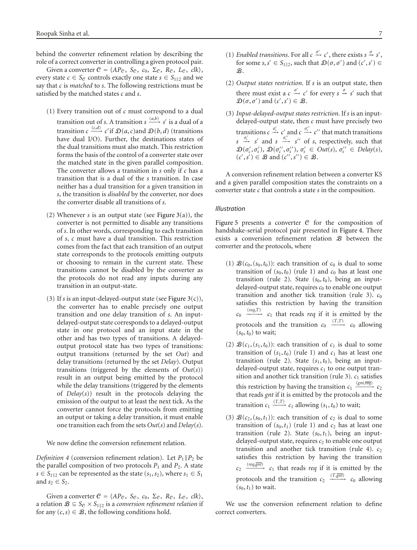behind the converter refinement relation by describing the role of a correct converter in controlling a given protocol pair.

Given a converter  $C = \langle AP_{C}, S_{C}, c_{0}, \Sigma_{C}, R_{C}, L_{C}, clk \rangle$ , every state  $c \in S_{\mathcal{C}}$  controls exactly one state  $s \in S_{1\parallel 2}$  and we say that *c* is *matched* to *s*. The following restrictions must be satisfied by the matched states *c* and *s*.

- (1) Every transition out of *c* must correspond to a dual transition out of *s*. A transition  $s \xrightarrow{(a,b)} s'$  is a dual of a transition  $c \xrightarrow{(c,d)} c'$  if  $\mathcal{D}(a,c)$  and  $\mathcal{D}(b,d)$  (transitions have dual I/O). Further, the destinations states of the dual transitions must also match. This restriction forms the basis of the control of a converter state over the matched state in the given parallel composition. The converter allows a transition in *s* only if *c* has a transition that is a dual of the *s* transition. In case neither has a dual transition for a given transition in *s*, the transition is *disabled* by the converter, nor does the converter disable all transitions of *s*.
- (2) Whenever *s* is an output state (see Figure 3(a)), the converter is not permitted to disable any transitions of *s*. In other words, corresponding to each transition of *s*, *c* must have a dual transition. This restriction comes from the fact that each transition of an output state corresponds to the protocols emitting outputs or choosing to remain in the current state. These transitions cannot be disabled by the converter as the protocols do not read any inputs during any transition in an output-state.
- (3) If *s* is an input-delayed-output state (see Figure  $3(c)$ ), the converter has to enable precisely one output transition and one delay transition of *s*. An inputdelayed-output state corresponds to a delayed-output state in one protocol and an input state in the other and has two types of transitions. A delayedoutput protocol state has two types of transitions: output transitions (returned by the set *Out*) and delay transitions (returned by the set *Delay*). Output transitions (triggered by the elements of *Out*(*s*)) result in an output being emitted by the protocol while the delay transitions (triggered by the elements of *Delay*(*s*)) result in the protocols delaying the emission of the output to at least the next tick. As the converter cannot force the protocols from emitting an output or taking a delay transition, it must enable one transition each from the sets *Out*(*s*) and *Delay*(*s*).

We now define the conversion refinement relation.

*Definition 4* (conversion refinement relation). Let  $P_1 \parallel P_2$  be the parallel composition of two protocols  $P_1$  and  $P_2$ . A state *s* ∈ *S*<sub>1||2</sub> can be represented as the state (*s*<sub>1</sub>, *s*<sub>2</sub>), where *s*<sub>1</sub> ∈ *S*<sub>1</sub> and  $s_2 \in S_2$ .

Given a converter  $C = \langle AP_{\mathcal{C}}, S_{\mathcal{C}}, c_0, \Sigma_{\mathcal{C}}, R_{\mathcal{C}}, L_{\mathcal{C}}, c \rangle$ a relation  $\mathcal{B} \subseteq S_{\mathcal{C}} \times S_{1||2}$  is a *conversion refinement relation* if for any  $(c, s) \in \mathcal{B}$ , the following conditions hold.

- (1) *Enabled transitions*. For all  $c \xrightarrow{\sigma'} c'$ , there exists  $s \xrightarrow{\sigma} s'$ , for some *s*, *s'*  $\in S_{1\parallel 2}$ , such that  $\mathcal{D}(\sigma, \sigma')$  and  $(c', s') \in$  $\mathcal{B}$ .
- (2) *Output states restriction*. If *s* is an output state, then there must exist a  $c \stackrel{\sigma'}{\rightarrow} c'$  for every  $s \stackrel{\sigma}{\rightarrow} s'$  such that  $\mathcal{D}(\sigma, \sigma')$  and  $(c', s') \in \mathcal{B}$ .
- (3) *Input-delayed-output states restriction*. If *s* is an inputdelayed-output state, then *c* must have precisely two transitions  $c \xrightarrow{\sigma_c'} c'$  and  $c \xrightarrow{\sigma_c''} c''$  that match transitions *s*  $\frac{\sigma_s'}{r}$  *s'* and *s*  $\frac{\sigma_s''}{s}$  *s''* of *s*, respectively, such that  $\mathcal{D}(\sigma'_c, \sigma'_s), \mathcal{D}(\sigma''_c, \sigma''_s), \sigma'_s \in Out(s), \sigma''_s \in Delay(s),$  $(c', s') \in \mathcal{B}$  and  $(c'', s'') \in \mathcal{B}$ .

A conversion refinement relation between a converter KS and a given parallel composition states the constraints on a converter state *c* that controls a state *s* in the composition.

### *Illustration*

Figure 5 presents a converter C for the composition of handshake-serial protocol pair presented in Figure 4. There exists a conversion refinement relation B between the converter and the protocols, where

- (1)  $\mathcal{B}(c_0, (s_0, t_0))$ : each transition of  $c_0$  is dual to some transition of  $(s_0, t_0)$  (rule 1) and  $c_0$  has at least one transition (rule 2). State  $(s_0, t_0)$ , being an inputdelayed-output state, requires  $c_0$  to enable one output transition and another tick transition (rule 3).  $c_0$ satisfies this restriction by having the transition  $c_0 \xrightarrow{(req, T)} c_1$  that reads *req* if it is emitted by the protocols and the transition  $c_0 \xrightarrow{(T,T)} c_0$  allowing  $(s_0, t_0)$  to wait;
- (2)  $\mathcal{B}(c_1, (s_1, t_0))$ : each transition of  $c_1$  is dual to some transition of  $(s_1, t_0)$  (rule 1) and  $c_1$  has at least one transition (rule 2). State  $(s_1, t_0)$ , being an inputdelayed-output state, requires  $c_1$  to one output transition and another tick transition (rule 3).  $c_1$  satisfies this restriction by having the transition  $c_1 \xrightarrow{(gnt,\overline{req})} c_2$ that reads *gnt* if it is emitted by the protocols and the transition  $c_1 \xrightarrow{(T,T)} c_1$  allowing  $(s_1, t_0)$  to wait;
- (3)  $\mathcal{B}(c_2, (s_0, t_1))$ : each transition of  $c_2$  is dual to some transition of  $(s_0, t_1)$  (rule 1) and  $c_2$  has at least one transition (rule 2). State  $(s_0, t_1)$ , being an inputdelayed-output state, requires*c*<sup>2</sup> to enable one output transition and another tick transition (rule 4).  $c<sub>2</sub>$ satisfies this restriction by having the transition  $c_2 \xrightarrow{(req, \overline{gen}} c_1$  that reads *req* if it is emitted by the protocols and the transition  $c_2 \xrightarrow{(T,\overline{gm})} c_0$  allowing  $(s_0, t_1)$  to wait.

We use the conversion refinement relation to define correct converters.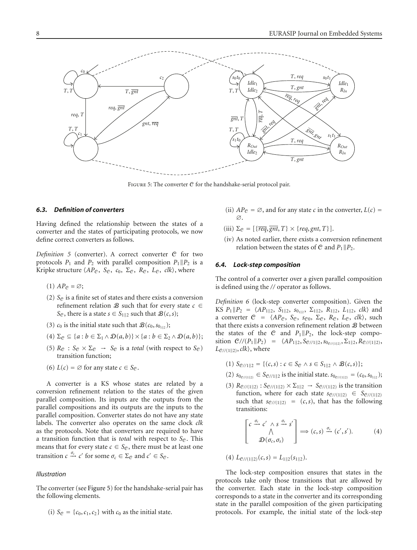

FIGURE 5: The converter C for the handshake-serial protocol pair.

# *6.3. Definition of converters*

Having defined the relationship between the states of a converter and the states of participating protocols, we now define correct converters as follows.

*Definition 5* (converter). A correct converter C for two protocols  $P_1$  and  $P_2$  with parallel composition  $P_1 \parallel P_2$  is a Kripke structure  $\langle AP_{\mathcal{C}}, S_{\mathcal{C}}, c_0, \Sigma_{\mathcal{C}}, R_{\mathcal{C}}, L_{\mathcal{C}}, c\mathcal{R}\rangle$ , where

- $(1)$   $AP_{\mathcal{C}} = \varnothing;$
- (2)  $S_c$  is a finite set of states and there exists a conversion refinement relation  $\mathcal B$  such that for every state  $c \in$ *S*<sub>C</sub>, there is a state *s*  $\in$  *S*<sub>1 $||2$ </sub> such that *B*(*c*, *s*);
- (3)  $c_0$  is the initial state such that  $\mathcal{B}(c_0, s_{0<sub>1/2</sub>});$
- $(4) \Sigma_{\mathcal{C}} \subseteq \{a : b \in \Sigma_1 \wedge \mathcal{D}(a, b)\} \times \{a : b \in \Sigma_2 \wedge \mathcal{D}(a, b)\};$
- (5)  $R_c$  :  $S_c \times \Sigma_c$   $\rightarrow$   $S_c$  is a *total* (with respect to  $S_c$ ) transition function;
- (6)  $L(c) = \emptyset$  for any state  $c \in S_{\mathcal{C}}$ .

A converter is a KS whose states are related by a conversion refinement relation to the states of the given parallel composition. Its inputs are the outputs from the parallel compositions and its outputs are the inputs to the parallel composition. Converter states do not have any state labels. The converter also operates on the same clock *clk* as the protocols. Note that converters are required to have a transition function that is *total* with respect to S<sub>C</sub>. This means that for every state  $c \in S_{\mathcal{C}}$ , there must be at least one transition  $c \xrightarrow{\sigma_c} c'$  for some  $\sigma_c \in \Sigma_c$  and  $c' \in S_c$ .

# *Illustration*

The converter (see Figure 5) for the handshake-serial pair has the following elements.

(i) 
$$
S_{\mathcal{C}} = \{c_0, c_1, c_2\}
$$
 with  $c_0$  as the initial state.

- (ii)  $AP_c = \emptyset$ , and for any state *c* in the converter,  $L(c) =$ ∅.
- (iii)  $\Sigma_e = [\{\overline{req}, \overline{gnt}, T\} \times \{req, gnt, T\}].$
- (iv) As noted earlier, there exists a conversion refinement relation between the states of  $C$  and  $P_1||P_2$ .

#### *6.4. Lock-step composition*

The control of a converter over a given parallel composition is defined using the *//* operator as follows.

*Definition 6* (lock-step converter composition). Given the KS  $P_1 \| P_2 = \langle AP_{1 \| 2}, S_{1 \| 2}, s_{0_{1 \| 2}}, \Sigma_{1 \| 2}, R_{1 \| 2}, L_{1 \| 2}, c l k \rangle$  and a converter  $C = \langle AP_{\mathcal{C}}, S_{\mathcal{C}}, s_{\mathcal{C}0}, \Sigma_{\mathcal{C}}, R_{\mathcal{C}}, L_{\mathcal{C}}, c\mathcal{R}\rangle$ , such that there exists a conversion refinement relation  $B$  between the states of the  $C$  and  $P_1||P_2$ , the lock-step composition  $C/(P_1 \| P_2) = \langle AP_{1\|2}, S_{C//1\|2}, s_{0_{C//1\|2}}, \Sigma_{1\|2}, R_{C//(1\|2)},$  $L_{\mathcal{C}/\mathcal{U}(1\parallel2)}$ *, clk* $\rangle$ *,* where

- $(1)$   $S_{\mathcal{C}/\mathcal{C}}(1) = \{ (c, s) : c \in S_{\mathcal{C}} \land s \in S_{1\vert 2} \land \mathcal{B}(c, s) \};$
- (2)  $s_{0_{\mathcal{C} \mid \! \mid (1\!|\!2)} \in S_{\mathcal{C} \mid \! \mid 1\!|\!2}$  is the initial state.  $s_{0_{\mathcal{C} \mid \! \mid (1\!|\!2)} = (c_0, s_{0_{1\!|\!2}});$
- (3)  $R_{\mathcal{C} \mathcal{N}(1 \parallel 2)}$ :  $S_{\mathcal{C} \mathcal{N}(1 \parallel 2)} \times \Sigma_{1 \parallel 2} \rightarrow S_{\mathcal{C} \mathcal{N}(1 \parallel 2)}$  is the transition function, where for each state  $s_{\mathcal{C}/\ell(1||2)} \in S_{\mathcal{C}/\ell(1||2)}$ such that  $s_{\frac{C}{I(1\|2)}} = (c, s)$ , that has the following transitions:

$$
\begin{bmatrix} c & \xrightarrow{\sigma_c} c' & \wedge s & \xrightarrow{\sigma_s} s' \\ \wedge & & \\ \mathcal{D}(\sigma_c, \sigma_s) \end{bmatrix} \Longrightarrow (c, s) \xrightarrow{\sigma_s} (c', s'). \tag{4}
$$

(4) 
$$
L_{\mathcal{C} \mathcal{N}(1\|2)}(c, s) = L_{1\|2}(s_{1\|2}).
$$

The lock-step composition ensures that states in the protocols take only those transitions that are allowed by the converter. Each state in the lock-step composition corresponds to a state in the converter and its corresponding state in the parallel composition of the given participating protocols. For example, the initial state of the lock-step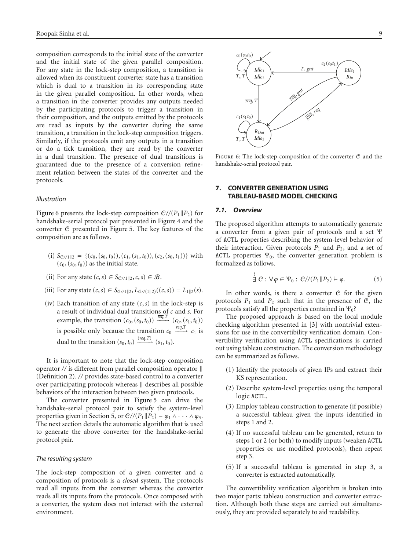composition corresponds to the initial state of the converter and the initial state of the given parallel composition. For any state in the lock-step composition, a transition is allowed when its constituent converter state has a transition which is dual to a transition in its corresponding state in the given parallel composition. In other words, when a transition in the converter provides any outputs needed by the participating protocols to trigger a transition in their composition, and the outputs emitted by the protocols are read as inputs by the converter during the same transition, a transition in the lock-step composition triggers. Similarly, if the protocols emit any outputs in a transition or do a tick transition, they are read by the converter in a dual transition. The presence of dual transitions is guaranteed due to the presence of a conversion refinement relation between the states of the converter and the protocols.

#### *Illustration*

Figure 6 presents the lock-step composition  $\mathcal{C}$ //( $P_1$ || $P_2$ ) for handshake-serial protocol pair presented in Figure 4 and the converter C presented in Figure 5. The key features of the composition are as follows.

- (i)  $S_{\mathcal{C}/\mathcal{C}}(s_0, t_0)$ ,  $(c_1, (s_1, t_0))$ ,  $(c_2, (s_0, t_1))$  with  $(c_0, (s_0, t_0))$  as the initial state.
- (ii) For any state  $(c, s) \in S_{\mathcal{C}/\mathcal{U}}(s) \subset \mathcal{B}$ .
- (iii) For any state  $(c, s) \in S_{\mathcal{C}/\mathcal{A}}(1|2)}(c, s) = L_1(1|2)(s)$ .
- (iv) Each transition of any state  $(c, s)$  in the lock-step is a result of individual dual transitions of *c* and *s*. For example, the transition  $(c_0, (s_0, t_0))$   $\frac{\overline{req}, T}{(c_0, (s_1, t_0))}$ is possible only because the transition  $c_0 \xrightarrow{req, T} c_1$  is dual to the transition  $(s_0, t_0) \xrightarrow{(req, T)} (s_1, t_0)$ .

It is important to note that the lock-step composition operator *//* is different from parallel composition operator (Definition 2). *//* provides state-based control to a converter over participating protocols whereas  $\parallel$  describes all possible behaviors of the interaction between two given protocols.

The converter presented in Figure 5 can drive the handshake-serial protocol pair to satisfy the system-level properties given in Section 5, or  $C // (P_1 || P_2) \vDash \varphi_1 \wedge \cdots \wedge \varphi_3$ . The next section details the automatic algorithm that is used to generate the above converter for the handshake-serial protocol pair.

# *The resulting system*

The lock-step composition of a given converter and a composition of protocols is a *closed* system. The protocols read all inputs from the converter whereas the converter reads all its inputs from the protocols. Once composed with a converter, the system does not interact with the external environment.



FIGURE 6: The lock-step composition of the converter  $C$  and the handshake-serial protocol pair.

# **7. CONVERTER GENERATION USING TABLEAU-BASED MODEL CHECKING**

# *7.1. Overview*

The proposed algorithm attempts to automatically generate a converter from a given pair of protocols and a set Ψ of ACTL properties describing the system-level behavior of their interaction. Given protocols  $P_1$  and  $P_2$ , and a set of ACTL properties  $\Psi_0$ , the converter generation problem is formalized as follows.

$$
\stackrel{?}{\exists} C : \forall \varphi \in \Psi_0 : C \mathcal{N}(P_1 \| P_2) \models \varphi. \tag{5}
$$

In other words, is there a converter  $C$  for the given protocols  $P_1$  and  $P_2$  such that in the presence of  $C$ , the protocols satisfy all the properties contained in  $\Psi_0$ ?

The proposed approach is based on the local module checking algorithm presented in [3] with nontrivial extensions for use in the convertibility verification domain. Convertibility verification using ACTL specifications is carried out using tableau construction. The conversion methodology can be summarized as follows.

- (1) Identify the protocols of given IPs and extract their KS representation.
- (2) Describe system-level properties using the temporal logic ACTL.
- (3) Employ tableau construction to generate (if possible) a successful tableau given the inputs identified in steps 1 and 2.
- (4) If no successful tableau can be generated, return to steps 1 or 2 (or both) to modify inputs (weaken ACTL properties or use modified protocols), then repeat step 3.
- (5) If a successful tableau is generated in step 3, a converter is extracted automatically.

The convertibility verification algorithm is broken into two major parts: tableau construction and converter extraction. Although both these steps are carried out simultaneously, they are provided separately to aid readability.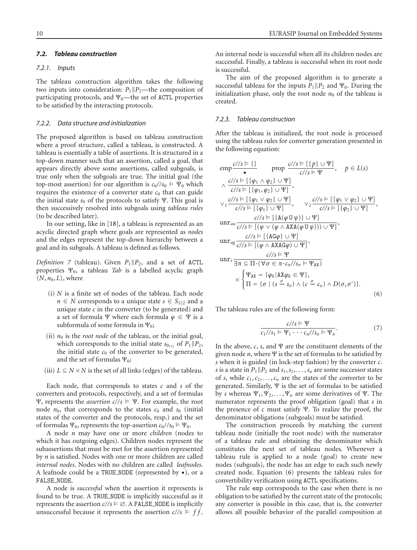# *7.2. Tableau construction*

# *7.2.1. Inputs*

The tableau construction algorithm takes the following two inputs into consideration:  $P_1 \parallel P_2$ —the composition of participating protocols, and  $\Psi_0$ —the set of ACTL properties to be satisfied by the interacting protocols.

#### *7.2.2. Data structure and initialization*

The proposed algorithm is based on tableau construction where a proof structure, called a tableau, is constructed. A tableau is essentially a table of assertions. It is structured in a top-down manner such that an assertion, called a goal, that appears directly above some assertions, called subgoals, is true only when the subgoals are true. The initial goal (the top-most assertion) for our algorithm is  $c_0 \ell s_0 \vDash \Psi_0$  which requires the existence of a converter state  $c_0$  that can guide the initial state  $s_0$  of the protocols to satisfy Ψ. This goal is then successively resolved into subgoals using *tableau rules* (to be described later).

In our setting, like in [18], a tableau is represented as an acyclic directed graph where goals are represented as *nodes* and the edges represent the top-down hierarchy between a goal and its subgoals. A tableau is defined as follows.

*Definition 7* (tableau). Given  $P_1||P_2$ , and a set of ACTL properties Ψ0, a tableau *Tab* is a labelled acyclic graph  $\langle N, n_0, L \rangle$ , where

- (i) *N* is a finite set of nodes of the tableau. Each node  $n \in N$  corresponds to a unique state  $s \in S_{1\vert 2}$  and a unique state *c* in the converter (to be generated) and a set of formula Ψ where each formula *ϕ* ∈ Ψ is a subformula of some formula in  $\Psi_0$ ;
- (ii)  $n_0$  is the *root node* of the tableau, or the initial goal, which corresponds to the initial state  $s_{0_{1|2}}$  of  $P_1||P_2$ , the initial state  $c_0$  of the converter to be generated, and the set of formulas  $\Psi_0$ ;
- (iii)  $L \subseteq N \times N$  is the set of all links (edges) of the tableau.

Each node, that corresponds to states *c* and *s* of the converters and protocols, respectively, and a set of formulas Ψ, represents the *assertion*  $c//s \models \Psi$ . For example, the root node *n*0, that corresponds to the states *c*<sup>0</sup> and *s*<sup>0</sup> (initial states of the converter and the protocols, resp.) and the set of formulas  $\Psi_0$ , represents the top-assertion  $c_0 \text{ and } c_0 = \Psi_0$ .

A node *n* may have one or more *children* (nodes to which it has outgoing edges). Children nodes represent the subassertions that must be met for the assertion represented by *n* is satisfied. Nodes with one or more children are called *internal nodes*. Nodes with no children are called *leafnodes*. A leafnode could be a TRUE NODE (represented by •), or a FALSE NODE.

A node is *successful* when the assertion it represents is found to be true. A TRUE NODE is implicitly successful as it represents the assertion  $c//s \models \emptyset$ . A FALSE\_NODE is implicitly unsuccessful because it represents the assertion  $c//s \models ff$ .

An internal node is successful when all its children nodes are successful. Finally, a tableau is successful when its root node is successful.

The aim of the proposed algorithm is to generate a successful tableau for the inputs  $P_1||P_2$  and  $\Psi_0$ . During the initialization phase, only the root node  $n_0$  of the tableau is created.

# *7.2.3. Tableau construction*

After the tableau is initialized, the root node is processed using the tableau rules for converter generation presented in the following equation:

$$
\text{emp} \frac{c}{s} \quad \text{prop} \frac{c}{s} \quad \text{prop} \frac{c}{s} \quad \text{prop} \frac{c}{s} \quad \text{p} \quad \text{q} \quad \text{q}}{c/(s \varepsilon + \frac{1}{2}\varphi_1 \wedge \varphi_2) \cup \Psi_1}, \quad p \in L(s)
$$
\n
$$
\frac{c}{s} \quad \frac{c}{s} \quad \frac{c}{s} \quad \frac{c}{s} \quad \frac{c}{s} \quad \frac{c}{s} \quad \frac{c}{s} \quad \frac{c}{s} \quad \frac{c}{s} \quad \frac{c}{s} \quad \frac{c}{s} \quad \frac{c}{s} \quad \frac{c}{s} \quad \frac{c}{s} \quad \frac{c}{s} \quad \frac{c}{s} \quad \frac{c}{s} \quad \frac{c}{s} \quad \frac{c}{s} \quad \frac{c}{s} \quad \frac{c}{s} \quad \frac{c}{s} \quad \frac{c}{s} \quad \frac{c}{s} \quad \frac{c}{s} \quad \frac{c}{s} \quad \frac{c}{s} \quad \frac{c}{s} \quad \frac{c}{s} \quad \frac{c}{s} \quad \frac{c}{s} \quad \frac{c}{s} \quad \frac{c}{s} \quad \frac{c}{s} \quad \frac{c}{s} \quad \frac{c}{s} \quad \frac{c}{s} \quad \frac{c}{s} \quad \frac{c}{s} \quad \frac{c}{s} \quad \frac{c}{s} \quad \frac{c}{s} \quad \frac{c}{s} \quad \frac{c}{s} \quad \frac{c}{s} \quad \frac{c}{s} \quad \frac{c}{s} \quad \frac{c}{s} \quad \frac{c}{s} \quad \frac{c}{s} \quad \frac{c}{s} \quad \frac{c}{s} \quad \frac{c}{s} \quad \frac{c}{s} \quad \frac{c}{s} \quad \frac{c}{s} \quad \frac{c}{s} \quad \frac{c}{s} \quad \frac{c}{s} \quad \frac{c}{s} \quad \frac{c}{s} \quad \frac{c}{s} \quad \frac{c}{s} \quad \frac{c}{s} \quad \frac{c}{s} \quad \frac{c}{s} \quad \frac{c}{s} \quad \frac{c}{s} \quad \frac{c}{s} \quad \frac{c}{s} \quad \frac{
$$

The tableau rules are of the following form:

$$
\frac{c/\sqrt{s} \vDash \Psi}{c_1/\sqrt{s_1} \vDash \Psi_1 \cdots c_n/\sqrt{s_n} \vDash \Psi_n}.
$$
\n(7)

In the above, *c*, *s*, and Ψ are the constituent elements of the given node *n*, where Ψ is the set of formulas to be satisfied by *s* when it is guided (in lock-step fashion) by the converter *c*. *s* is a state in  $P_1 \parallel P_2$  and  $s_1, s_2, \ldots, s_n$  are some successor states of *s*, while  $c_1, c_2, \ldots, c_n$  are the states of the converter to be generated. Similarly, Ψ is the set of formulas to be satisfied by *s* whereas  $\Psi_1, \Psi_2, \dots, \Psi_n$  are some derivatives of  $\Psi$ . The numerator represents the proof obligation (goal) that *s* in the presence of *c* must satisfy Ψ. To realize the proof, the denominator obligations (subgoals) must be satisfied.

The construction proceeds by matching the current tableau node (initially the root node) with the numerator of a tableau rule and obtaining the denominator which constitutes the next set of tableau nodes. Whenever a tableau rule is applied to a node (goal) to create new nodes (subgoals), the node has an edge to each such newly created node. Equation (6) presents the tableau rules for convertibility verification using ACTL specifications.

The rule emp corresponds to the case when there is no obligation to be satisfied by the current state of the protocols; any converter is possible in this case, that is, the converter allows all possible behavior of the parallel composition at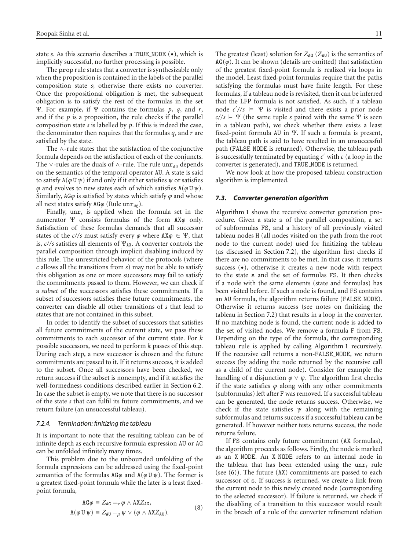state *s*. As this scenario describes a TRUE NODE (•), which is implicitly successful, no further processing is possible.

The prop rule states that a converter is synthesizable only when the proposition is contained in the labels of the parallel composition state *s*; otherwise there exists no converter. Once the propositional obligation is met, the subsequent obligation is to satisfy the rest of the formulas in the set Ψ. For example, if Ψ contains the formulas *p*, *q*, and *r*, and if the  $p$  is a proposition, the rule checks if the parallel composition state *s* is labelled by *p*. If this is indeed the case, the denominator then requires that the formulas *q*, and *r* are satisfied by the state.

The ∧-rule states that the satisfaction of the conjunctive formula depends on the satisfaction of each of the conjuncts. The ∨-rules are the duals of ∧-rule. The rule unr*au* depends on the semantics of the temporal operator AU. A state is said to satisfy  $A(\varphi \cup \psi)$  if and only if it either satisfies  $\psi$  or satisfies *ϕ* and evolves to new states each of which satisfies A(*ϕ* U *ψ*). Similarly, AG*ϕ* is satisfied by states which satisfy *ϕ* and whose all next states satisfy AG*ϕ* (Rule unr*ag* ).

Finally, unr*<sup>s</sup>* is applied when the formula set in the numerator Ψ consists formulas of the form AX*ϕ* only. Satisfaction of these formulas demands that all successor states of the  $c$ //s must satisfy every  $\varphi$  where  $AX\varphi \in \Psi$ , that is,  $c$ //s satisfies all elements of  $\Psi_{\text{AX}}$ . A converter controls the parallel composition through implicit disabling induced by this rule. The unrestricted behavior of the protocols (where *c* allows all the transitions from *s*) may not be able to satisfy this obligation as one or more successors may fail to satisfy the commitments passed to them. However, we can check if a *subset* of the successors satisfies these commitments. If a subset of successors satisfies these future commitments, the converter can disable all other transitions of *s* that lead to states that are not contained in this subset.

In order to identify the subset of successors that satisfies all future commitments of the current state, we pass these commitments to each successor of the current state. For *k* possible successors, we need to perform *k* passes of this step. During each step, a new successor is chosen and the future commitments are passed to it. If it returns success, it is added to the subset. Once all successors have been checked, we return success if the subset is nonempty, and if it satisfies the well-formedness conditions described earlier in Section 6.2. In case the subset is empty, we note that there is no successor of the state *s* that can fulfil its future commitments, and we return failure (an unsuccessful tableau).

# *7.2.4. Termination: finitizing the tableau*

It is important to note that the resulting tableau can be of infinite depth as each recursive formula expression AU or AG can be unfolded infinitely many times.

This problem due to the unbounded unfolding of the formula expressions can be addressed using the fixed-point semantics of the formulas  $AG\varphi$  and  $A(\varphi \cup \psi)$ . The former is a greatest fixed-point formula while the later is a least fixedpoint formula,

$$
\begin{aligned} \text{AG}\varphi & \equiv Z_{\text{AG}} =_{\nu} \varphi \wedge \text{AX} Z_{\text{AG}}, \\ \text{A}(\varphi \cup \psi) & \equiv Z_{\text{AU}} =_{\mu} \psi \vee (\varphi \wedge \text{AX} Z_{\text{AU}}). \end{aligned} \tag{8}
$$

The greatest (least) solution for  $Z_{AG}$  ( $Z_{AU}$ ) is the semantics of  $AG(\varphi)$ . It can be shown (details are omitted) that satisfaction of the greatest fixed-point formula is realized via loops in the model. Least fixed-point formulas require that the paths satisfying the formulas must have finite length. For these formulas, if a tableau node is revisited, then it can be inferred that the LFP formula is not satisfied. As such, if a tableau node  $c'/\sqrt{s}$   $\models$   $\Psi$  is visited and there exists a prior node  $c//s \models \Psi$  (the same tuple *s* paired with the same  $\Psi$  is seen in a tableau path), we check whether there exists a least fixed-point formula AU in Ψ. If such a formula is present, the tableau path is said to have resulted in an unsuccessful path (FALSE NODE is returned). Otherwise, the tableau path is successfully terminated by equating  $c'$  with  $c$  (a loop in the converter is generated), and TRUE NODE is returned.

We now look at how the proposed tableau construction algorithm is implemented.

# *7.3. Converter generation algorithm*

Algorithm 1 shows the recursive converter generation procedure. Given a state s of the parallel composition, a set of subformulas FS, and a history of all previously visited tableau nodes H (all nodes visited on the path from the root node to the current node) used for finitizing the tableau (as discussed in Section 7.2), the algorithm first checks if there are no commitments to be met. In that case, it returns success (•), otherwise it creates a new node with respect to the state s and the set of formulas FS. It then checks if a node with the same elements (state and formulas) has been visited before. If such a node is found, and FS contains an AU formula, the algorithm returns failure (FALSE NODE). Otherwise it returns success (see notes on finitizing the tableau in Section 7.2) that results in a loop in the converter. If no matching node is found, the current node is added to the set of visited nodes. We remove a formula F from FS. Depending on the type of the formula, the corresponding tableau rule is applied by calling Algorithm 1 recursively. If the recursive call returns a non-FALSE NODE, we return success (by adding the node returned by the recursive call as a child of the current node). Consider for example the handling of a disjunction  $\varphi \lor \psi$ . The algorithm first checks if the state satisfies  $\varphi$  along with any other commitments (subformulas) left after F was removed. If a successful tableau can be generated, the node returns success. Otherwise, we check if the state satisfies  $\psi$  along with the remaining subformulas and returns success if a successful tableau can be generated. If however neither tests returns success, the node returns failure.

If FS contains only future commitment (AX formulas), the algorithm proceeds as follows. Firstly, the node is marked as an X NODE. An X NODE refers to an internal node in the tableau that has been extended using the unr*<sup>s</sup>* rule (see  $(6)$ ). The future  $(AX)$  commitments are passed to each successor of s. If success is returned, we create a link from the current node to this newly created node (corresponding to the selected successor). If failure is returned, we check if the disabling of a transition to this successor would result in the breach of a rule of the converter refinement relation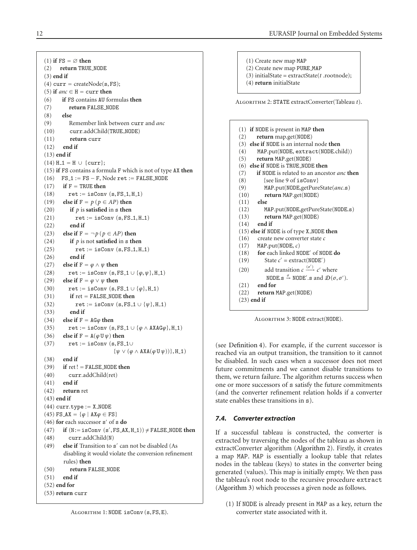(1) **if**  $FS = \emptyset$  **then** (2) **return** TRUE NODE (3) **end if** (4)  $curr = createNode(s, FS);$ (5) **if**  $anc \in H = \text{curr}$  **then**<br>(6) **if FS** contains AU for (6) **if** FS contains AU formulas **then** (7) **return** FALSE NODE (8) **else** (9) Remember link between curr and *anc* (10) curr*.*addChild(TRUE NODE) (11) **return** curr (12) **end if** (13) **end if**  $(14)$  H<sub>-1</sub> = H ∪ {curr}; (15) **if** FS contains a formula F which is not of type AX **then**  $(16)$  FS  $1 := FS - F$ , Node ret := FALSE NODE (17) **if**  $F = TRUE$  **then**<br>(18) **ret** := **isConv** (18) ret := isConv (s, FS\_1, H\_1)<br>(19) else if  $F = p (p \in AP)$  then (19) **else if**  $F = p (p \in AP)$  **then**<br>(20) **if** *p* is **satisfied** in **s then** if  $p$  is satisfied in s then (21)  $ret := isConv(s, FS.1, H.1)$ <br>(22)  $end if$ (22) **end if** (23) **else if**  $F = \neg p (p \in AP)$  **then**<br>(24) **if** *p* is not **satisfied** in **s the** if  $p$  is not **satisfied** in **s** then (25)  $ret := isConv(s, FS.1, H.1)$ <br>(26)  $end if$ (26) **end if** (27) **else if**  $F = \varphi \land \psi$  **then** (28) ret := isConv (s, FS<sub>-1</sub> ∪ { $\varphi$ ,  $\psi$ }, H<sub>-1</sub>)<br>(29) else if F =  $\varphi \lor \psi$  then (29) **else if**  $F = \varphi \lor \psi$  **then**<br>(30) **ret** := **isConv** (**s**, **l** (30)  $ret := isConv(s, FS_1 \cup {\varphi}, H_1)$ <br>(31) if  $ret = FALSE\_NODE$  then (31) **if** ret = FALSE\_NODE **then**<br>(32) **ret** := isConv (s, FS\_1 (32)  $ret := i sConv (s, FS.1 \cup \{\psi\}, H.1)$ <br>(33) **end if** (33) **end if** (34) **else if**  $F = AG\varphi$  **then**<br>(35) **ret** := **isConv** (**s** (35) ret := isConv (s, FS\_1 ∪ { $\varphi \land$  AXAG $\varphi$ }, H\_1)<br>(36) else if F =  $A(\omega \amalg \psi)$  then (36) **else if**  $F = A(\varphi \cup \psi)$  **then**<br>(37) **ret** := **isConv** (**s**, **FS**  $ret := isConv(s, FS_1 \cup$  $\{\psi \lor (\varphi \land AXA(\varphi \cup \psi))\}, H_1)$ (38) **end if** (39) **if** ret! = FALSE\_NODE **then**<br>(40) **curr.addChild(ret)** (40) curr*.*addChild(ret) (41) **end if** (42) **return** ret (43) **end if** (44) curr*.*type := X NODE  $(45)$  FS\_AX =  $\{\varphi \mid AX\varphi \in FS\}$ (46) **for** each successor s' of s **do**  $(47)$  **if**  $(N:=\texttt{isConv}(s',\text{FS\_AX},\text{H}_1)) \neq \text{FALSE\_NODE}$  then (48) curr*.*addChild(N)  $(49)$  **else if** Transition to  $s'$  can not be disabled (As disabling it would violate the conversion refinement rules) **then** (50) **return** FALSE NODE (51) **end if** (52) **end for** (53) **return** curr

(1) Create new map MAP (2) Create new map PURE MAP (3) initialState = extractState(*t* .rootnode);

(4) **return** initialState

Algorithm 2: STATE extractConverter(Tableau *t*).

| $(1)$ if NODE is present in MAP then                                                 |  |  |  |  |  |
|--------------------------------------------------------------------------------------|--|--|--|--|--|
| return map.get(NODE)<br>(2)                                                          |  |  |  |  |  |
| (3) else if NODE is an internal node then                                            |  |  |  |  |  |
| (4)<br>MAP.put(NODE, extract(NODE.child))                                            |  |  |  |  |  |
| (5)<br>return MAP.get(NODE)                                                          |  |  |  |  |  |
| (6) else if NODE is TRUE_NODE then                                                   |  |  |  |  |  |
| if NODE is related to an ancestor anc then<br>(7)                                    |  |  |  |  |  |
| (8)<br>{see line 9 of isConv}                                                        |  |  |  |  |  |
| (9)<br>MAP.put(NODE, getPureState(anc.s)                                             |  |  |  |  |  |
| (10)<br>return MAP.get(NODE)                                                         |  |  |  |  |  |
| (11)<br>else                                                                         |  |  |  |  |  |
| (12)<br>MAP.put(NODE, getPureState(NODE.s)                                           |  |  |  |  |  |
| (13)<br>return MAP.get(NODE)                                                         |  |  |  |  |  |
| (14)<br>end if                                                                       |  |  |  |  |  |
| (15) else if NODE is of type X_NODE then                                             |  |  |  |  |  |
| (16)<br>create new converter state c                                                 |  |  |  |  |  |
| $(17)$ MAP.put(NODE, c)                                                              |  |  |  |  |  |
| (18) for each linked NODE' of NODE do                                                |  |  |  |  |  |
| (19)<br>State $c'$ = extract(NODE')                                                  |  |  |  |  |  |
| add transition $c \xrightarrow{(a')} c'$ where<br>(20)                               |  |  |  |  |  |
| NODE.s $\stackrel{\sigma}{\rightarrow}$ NODE'.s and $\mathcal{D}(\sigma, \sigma')$ . |  |  |  |  |  |
| $(21)$ end for                                                                       |  |  |  |  |  |
| (22)<br>return MAP.get(NODE)                                                         |  |  |  |  |  |
| $(23)$ end if                                                                        |  |  |  |  |  |
|                                                                                      |  |  |  |  |  |

Algorithm 3: NODE extract(NODE).

(see Definition 4). For example, if the current successor is reached via an output transition, the transition to it cannot be disabled. In such cases when a successor does not meet future commitments and we cannot disable transitions to them, we return failure. The algorithm returns success when one or more successors of s satisfy the future commitments (and the converter refinement relation holds if a converter state enables these transitions in s).

# *7.4. Converter extraction*

If a successful tableau is constructed, the converter is extracted by traversing the nodes of the tableau as shown in extractConverter algorithm (Algorithm 2). Firstly, it creates a map MAP. MAP is essentially a lookup table that relates nodes in the tableau (keys) to states in the converter being generated (values). This map is initially empty. We then pass the tableau's root node to the recursive procedure extract (Algorithm 3) which processes a given node as follows.

(1) If NODE is already present in MAP as a key, return the converter state associated with it.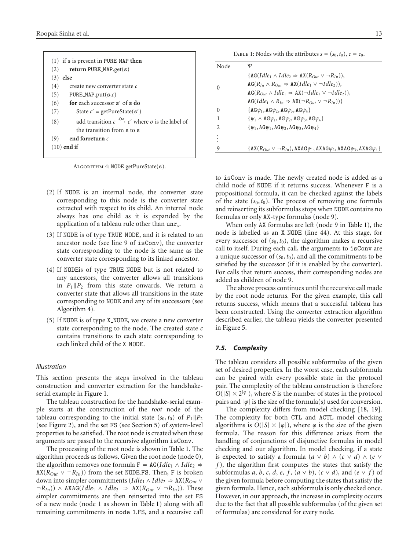|               | $(1)$ if s is present in PURE MAP then                                                             |  |  |
|---------------|----------------------------------------------------------------------------------------------------|--|--|
| (2)           | return PURE_MAP.get $(s)$                                                                          |  |  |
| (3)           | else                                                                                               |  |  |
| (4)           | create new converter state c                                                                       |  |  |
| (5)           | PURE_MAP.put( $s,c$ )                                                                              |  |  |
| (6)           | for each successor s' of s do                                                                      |  |  |
| (7)           | State $c' = getPureState(s')$                                                                      |  |  |
| (8)           | add transition $c \stackrel{\mathcal{D}\sigma}{\longrightarrow} c'$ where $\sigma$ is the label of |  |  |
|               | the transition from s to s                                                                         |  |  |
| (9)           | end forreturn $c$                                                                                  |  |  |
| $(10)$ end if |                                                                                                    |  |  |

ALGORITHM 4: NODE getPureState(s).

- (2) If NODE is an internal node, the converter state corresponding to this node is the converter state extracted with respect to its child. An internal node always has one child as it is expanded by the application of a tableau rule other than unr*s*.
- (3) If NODE is of type TRUE NODE, and it is related to an ancestor node (see line 9 of isConv), the converter state corresponding to the node is the same as the converter state corresponding to its linked ancestor.
- (4) If NODEis of type TRUE NODE but is not related to any ancestors, the converter allows all transitions in  $P_1 \parallel P_2$  from this state onwards. We return a converter state that allows all transitions in the state corresponding to NODE and any of its successors (see Algorithm 4).
- (5) If NODE is of type X\_NODE, we create a new converter state corresponding to the node. The created state *c* contains transitions to each state corresponding to each linked child of the X NODE.

# *Illustration*

This section presents the steps involved in the tableau construction and converter extraction for the handshakeserial example in Figure 1.

The tableau construction for the handshake-serial example starts at the construction of the *root* node of the tableau corresponding to the initial state  $(s_0, t_0)$  of  $P_1 \parallel P_2$ (see Figure 2), and the set FS (see Section 5) of system-level properties to be satisfied. The root node is created when these arguments are passed to the recursive algorithm isConv.

The processing of the root node is shown in Table 1. The algorithm proceeds as follows. Given the root node (node 0), the algorithm removes one formula  $$  $AX(R_{Out} \vee \neg R_{In})$  from the set NODE.FS. Then, F is broken down into simpler commitments (*Idle*<sup>1</sup> ∧*Idle*<sup>2</sup> ⇒ AX(*ROut* ∨  $\neg R_{In})$ ) ∧ AXAG(*Idle*<sub>1</sub> ∧ *Idle*<sub>2</sub>  $\Rightarrow$  AX( $R_{Out} \vee \neg R_{In}$ )). These simpler commitments are then reinserted into the set FS of a new node (node 1 as shown in Table 1) along with all remaining commitments in node 1*.*FS, and a recursive call TABLE 1: Nodes with the attributes  $s = (s_0, t_0)$ ,  $c = c_0$ .

| ${AG}(Idle_1 \wedge Idle_2 \Rightarrow AX(R_{Out} \vee \neg R_{In})),$<br>$AG(R_{In} \wedge R_{Out} \Rightarrow AX(Idle_1 \vee \neg Idle_2)),$<br>$AG(R_{Out} \wedge Idle_1 \Rightarrow AX(\neg Idle_1 \vee \neg Idle_2)),$<br>$AG(Idle_1 \wedge R_{I_n} \Rightarrow AX(\neg R_{Out} \vee \neg R_{I_n}))$ |
|-----------------------------------------------------------------------------------------------------------------------------------------------------------------------------------------------------------------------------------------------------------------------------------------------------------|
|                                                                                                                                                                                                                                                                                                           |
|                                                                                                                                                                                                                                                                                                           |
|                                                                                                                                                                                                                                                                                                           |
|                                                                                                                                                                                                                                                                                                           |
| ${AG\psi_1, AG\psi_2, AG\psi_3, AG\psi_4}$                                                                                                                                                                                                                                                                |
| $\{\psi_1 \wedge \text{AG}\psi_1, \text{AG}\psi_2, \text{AG}\psi_3, \text{AG}\psi_4\}$                                                                                                                                                                                                                    |
| $\{\psi_1, AG\psi_1, AG\psi_2, AG\psi_3, AG\psi_4\}$                                                                                                                                                                                                                                                      |
|                                                                                                                                                                                                                                                                                                           |
|                                                                                                                                                                                                                                                                                                           |
|                                                                                                                                                                                                                                                                                                           |

to isConv is made. The newly created node is added as a child node of NODE if it returns success. Whenever F is a propositional formula, it can be checked against the labels of the state  $(s_0, t_0)$ . The process of removing one formula and reinserting its subformulas stops when NODE contains no formulas or only AX-type formulas (node 9).

When only AX formulas are left (node 9 in Table 1), the node is labelled as an X NODE (line 44). At this stage, for every successor of  $(s_0, t_0)$ , the algorithm makes a recursive call to itself. During each call, the arguments to isConv are a unique successor of  $(s_0, t_0)$ , and all the commitments to be satisfied by the successor (if it is enabled by the converter). For calls that return success, their corresponding nodes are added as children of node 9.

The above process continues until the recursive call made by the root node returns. For the given example, this call returns success, which means that a successful tableau has been constructed. Using the converter extraction algorithm described earlier, the tableau yields the converter presented in Figure 5.

# *7.5. Complexity*

The tableau considers all possible subformulas of the given set of desired properties. In the worst case, each subformula can be paired with every possible state in the protocol pair. The complexity of the tableau construction is therefore  $O(|S| \times 2^{|\varphi|})$ , where *S* is the number of states in the protocol pairs and  $|\varphi|$  is the size of the formula(s) used for conversion.

The complexity differs from model checking [18, 19]. The complexity for both CTL and ACTL model checking algorithms is  $O(|S| \times |\varphi|)$ , where  $\varphi$  is the size of the given formula. The reason for this difference arises from the handling of conjunctions of disjunctive formulas in model checking and our algorithm. In model checking, if a state is expected to satisfy a formula  $(a \lor b) \land (c \lor d) \land (e \lor c)$ *f*), the algorithm first computes the states that satisfy the subformulas *a*, *b*, *c*, *d*, *e*, *f*, (*a* ∨ *b*), (*c* ∨ *d*), and (*e* ∨ *f*) of the given formula before computing the states that satisfy the given formula. Hence, each subformula is only checked once. However, in our approach, the increase in complexity occurs due to the fact that all possible subformulas (of the given set of formulas) are considered for every node.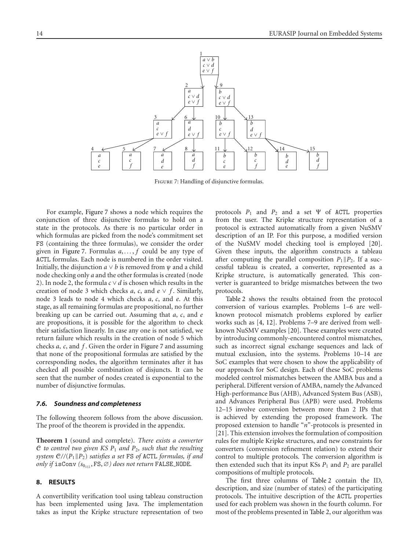

FIGURE 7: Handling of disjunctive formulas.

For example, Figure 7 shows a node which requires the conjunction of three disjunctive formulas to hold on a state in the protocols. As there is no particular order in which formulas are picked from the node's commitment set FS (containing the three formulas), we consider the order given in Figure 7. Formulas *a*, *...* , *f* could be any type of ACTL formulas. Each node is numbered in the order visited. Initially, the disjunction  $a \vee b$  is removed from  $\psi$  and a child node checking only *a* and the other formulas is created (node 2). In node 2, the formula *c* ∨ *d* is chosen which results in the creation of node 3 which checks *a*, *c*, and  $e \vee f$ . Similarly, node 3 leads to node 4 which checks *a*, *c*, and *e*. At this stage, as all remaining formulas are propositional, no further breaking up can be carried out. Assuming that *a*, *c*, and *e* are propositions, it is possible for the algorithm to check their satisfaction linearly. In case any one is not satisfied, we return failure which results in the creation of node 5 which checks *a*, *c*, and *f* . Given the order in Figure 7 and assuming that none of the propositional formulas are satisfied by the corresponding nodes, the algorithm terminates after it has checked all possible combination of disjuncts. It can be seen that the number of nodes created is exponential to the number of disjunctive formulas.

## *7.6. Soundness and completeness*

The following theorem follows from the above discussion. The proof of the theorem is provided in the appendix.

**Theorem 1** (sound and complete). *There exists a converter* C *to control two given KS P*<sup>1</sup> *and P*2*, such that the resulting system*  $\mathbb{C}$ // $(P_1 \| P_2)$  *satisfies a set* FS *of* ACTL *formulas, if and only if* is Conv  $(s_{0_{1|2}}, FS, \emptyset)$  does not return FALSE\_NODE.

## **8. RESULTS**

A convertibility verification tool using tableau construction has been implemented using Java. The implementation takes as input the Kripke structure representation of two

protocols  $P_1$  and  $P_2$  and a set  $\Psi$  of ACTL properties from the user. The Kripke structure representation of a protocol is extracted automatically from a given NuSMV description of an IP. For this purpose, a modified version of the NuSMV model checking tool is employed [20]. Given these inputs, the algorithm constructs a tableau after computing the parallel composition  $P_1 \parallel P_2$ . If a successful tableau is created, a converter, represented as a Kripke structure, is automatically generated. This converter is guaranteed to bridge mismatches between the two protocols.

Table 2 shows the results obtained from the protocol conversion of various examples. Problems 1–6 are wellknown protocol mismatch problems explored by earlier works such as [4, 12]. Problems 7–9 are derived from wellknown NuSMV examples [20]. These examples were created by introducing commonly-encountered control mismatches, such as incorrect signal exchange sequences and lack of mutual exclusion, into the systems. Problems 10–14 are SoC examples that were chosen to show the applicability of our approach for SoC design. Each of these SoC problems modeled control mismatches between the AMBA bus and a peripheral. Different version of AMBA, namely the Advanced High-performance Bus (AHB), Advanced System Bus (ASB), and Advances Peripheral Bus (APB) were used. Problems 12–15 involve conversion between more than 2 IPs that is achieved by extending the proposed framework. The proposed extension to handle "*n*"-protocols is presented in [21]. This extension involves the formulation of composition rules for multiple Kripke structures, and new constraints for converters (conversion refinement relation) to extend their control to multiple protocols. The conversion algorithm is then extended such that its input KSs  $P_1$  and  $P_2$  are parallel compositions of multiple protocols.

The first three columns of Table 2 contain the ID, description, and size (number of states) of the participating protocols. The intuitive description of the ACTL properties used for each problem was shown in the fourth column. For most of the problems presented in Table 2, our algorithm was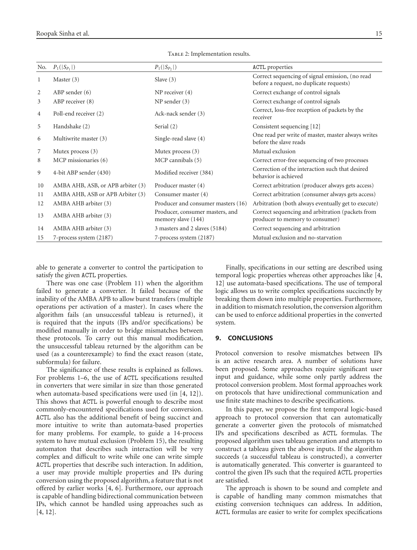| No.            | $P_1( S_{P_1} )$                  | $P_1( S_{P_2} )$                                      | <b>ACTL</b> properties                                                                      |
|----------------|-----------------------------------|-------------------------------------------------------|---------------------------------------------------------------------------------------------|
| 1              | Master $(3)$                      | Slave $(3)$                                           | Correct sequencing of signal emission, (no read<br>before a request, no duplicate requests) |
| $\overline{2}$ | ABP sender (6)                    | NP receiver $(4)$                                     | Correct exchange of control signals                                                         |
| 3              | ABP receiver (8)                  | $NP$ sender $(3)$                                     | Correct exchange of control signals                                                         |
| $\overline{4}$ | Poll-end receiver (2)             | Ack-nack sender (3)                                   | Correct, loss-free reception of packets by the<br>receiver                                  |
| 5              | Handshake (2)                     | Serial (2)                                            | Consistent sequencing [12]                                                                  |
| 6              | Multiwrite master (3)             | Single-read slave (4)                                 | One read per write of master, master always writes<br>before the slave reads                |
| 7              | Mutex process (3)                 | Mutex process (3)                                     | Mutual exclusion                                                                            |
| 8              | MCP missionaries (6)              | MCP cannibals (5)                                     | Correct error-free sequencing of two processes                                              |
| 9              | 4-bit ABP sender (430)            | Modified receiver (384)                               | Correction of the interaction such that desired<br>behavior is achieved                     |
| 10             | AMBA AHB, ASB, or APB arbiter (3) | Producer master (4)                                   | Correct arbitration (producer always gets access)                                           |
| 11             | AMBA AHB, ASB or APB Arbiter (3)  | Consumer master (4)                                   | Correct arbitration (consumer always gets access)                                           |
| 12             | AMBA AHB arbiter (3)              | Producer and consumer masters (16)                    | Arbitration (both always eventually get to execute)                                         |
| 13             | AMBA AHB arbiter (3)              | Producer, consumer masters, and<br>memory slave (144) | Correct sequencing and arbitration (packets from<br>producer to memory to consumer)         |
| 14             | AMBA AHB arbiter (3)              | 3 masters and 2 slaves (5184)                         | Correct sequencing and arbitration                                                          |
| 15             | 7-process system (2187)           | 7-process system (2187)                               | Mutual exclusion and no-starvation                                                          |

TABLE 2: Implementation results.

able to generate a converter to control the participation to satisfy the given ACTL properties.

There was one case (Problem 11) when the algorithm failed to generate a converter. It failed because of the inability of the AMBA APB to allow burst transfers (multiple operations per activation of a master). In cases where the algorithm fails (an unsuccessful tableau is returned), it is required that the inputs (IPs and/or specifications) be modified manually in order to bridge mismatches between these protocols. To carry out this manual modification, the unsuccessful tableau returned by the algorithm can be used (as a counterexample) to find the exact reason (state, subformula) for failure.

The significance of these results is explained as follows. For problems 1–6, the use of ACTL specifications resulted in converters that were similar in size than those generated when automata-based specifications were used (in [4, 12]). This shows that ACTL is powerful enough to describe most commonly-encountered specifications used for conversion. ACTL also has the additional benefit of being succinct and more intuitive to write than automata-based properties for many problems. For example, to guide a 14-process system to have mutual exclusion (Problem 15), the resulting automaton that describes such interaction will be very complex and difficult to write while one can write simple ACTL properties that describe such interaction. In addition, a user may provide multiple properties and IPs during conversion using the proposed algorithm, a feature that is not offered by earlier works [4, 6]. Furthermore, our approach is capable of handling bidirectional communication between IPs, which cannot be handled using approaches such as [4, 12].

Finally, specifications in our setting are described using temporal logic properties whereas other approaches like [4, 12] use automata-based specifications. The use of temporal logic allows us to write complex specifications succinctly by breaking them down into multiple properties. Furthermore, in addition to mismatch resolution, the conversion algorithm can be used to enforce additional properties in the converted system.

# **9. CONCLUSIONS**

Protocol conversion to resolve mismatches between IPs is an active research area. A number of solutions have been proposed. Some approaches require significant user input and guidance, while some only partly address the protocol conversion problem. Most formal approaches work on protocols that have unidirectional communication and use finite state machines to describe specifications.

In this paper, we propose the first temporal logic-based approach to protocol conversion that can automatically generate a converter given the protocols of mismatched IPs and specifications described as ACTL formulas. The proposed algorithm uses tableau generation and attempts to construct a tableau given the above inputs. If the algorithm succeeds (a successful tableau is constructed), a converter is automatically generated. This converter is guaranteed to control the given IPs such that the required ACTL properties are satisfied.

The approach is shown to be sound and complete and is capable of handling many common mismatches that existing conversion techniques can address. In addition, ACTL formulas are easier to write for complex specifications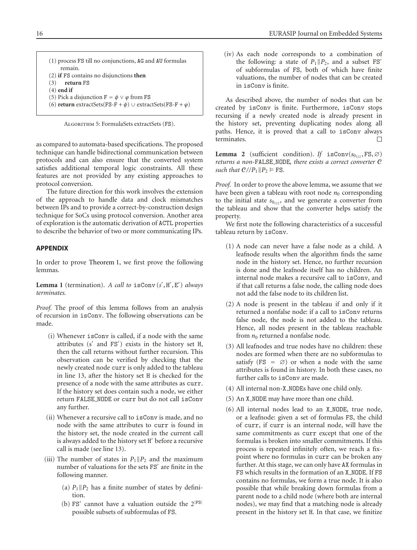

- (3) **return** FS
- (4) **end if**
- (5) Pick a disjunction  $\mathbf{F} = \phi \lor \varphi$  from FS
- (6) **return** extractSets(FS-F +  $\phi$ ) ∪ extractSets(FS-F +  $\phi$ )

Algorithm 5: FormulaSets extractSets (FS).

as compared to automata-based specifications. The proposed technique can handle bidirectional communication between protocols and can also ensure that the converted system satisfies additional temporal logic constraints. All these features are not provided by any existing approaches to protocol conversion.

The future direction for this work involves the extension of the approach to handle data and clock mismatches between IPs and to provide a correct-by-construction design technique for SoCs using protocol conversion. Another area of exploration is the automatic derivation of ACTL properties to describe the behavior of two or more communicating IPs.

# **APPENDIX**

In order to prove Theorem 1, we first prove the following lemmas.

Lemma 1 (termination). *A call to* isConv(s', H', E') *always terminates.*

*Proof.* The proof of this lemma follows from an analysis of recursion in isConv. The following observations can be made.

- (i) Whenever isConv is called, if a node with the same attributes (s' and FS') exists in the history set H, then the call returns without further recursion. This observation can be verified by checking that the newly created node curr is only added to the tableau in line 13, after the history set H is checked for the presence of a node with the same attributes as curr. If the history set does contain such a node, we either return FALSE NODE or curr but do not call isConv any further.
- (ii) Whenever a recursive call to isConv is made, and no node with the same attributes to curr is found in the history set, the node created in the current call is always added to the history set H' before a recursive call is made (see line 13).
- (iii) The number of states in  $P_1 \parallel P_2$  and the maximum number of valuations for the sets FS' are finite in the following manner.
	- (a)  $P_1||P_2$  has a finite number of states by definition.
	- (b) FS' cannot have a valuation outside the  $2^{|FS|}$ possible subsets of subformulas of FS.

(iv) As each node corresponds to a combination of the following: a state of  $P_1 \parallel P_2$ , and a subset FS' of subformulas of FS, both of which have finite valuations, the number of nodes that can be created in isConv is finite.

As described above, the number of nodes that can be created by isConv is finite. Furthermore, isConv stops recursing if a newly created node is already present in the history set, preventing duplicating nodes along all paths. Hence, it is proved that a call to isConv always terminates. П

**Lemma 2** (sufficient condition). *If* isConv( $s_{0112}$ , FS, ∅) *returns a non-*FALSE NODE*, there exists a correct converter* C *such that*  $\mathcal{C} // P_1 \| P_2 \models FS$ *.* 

*Proof.* In order to prove the above lemma, we assume that we have been given a tableau with root node  $n_0$  corresponding to the initial state  $s_{0_{1|2}}$ , and we generate a converter from the tableau and show that the converter helps satisfy the property.

We first note the following characteristics of a successful tableau return by isConv.

- (1) A node can never have a false node as a child. A leafnode results when the algorithm finds the same node in the history set. Hence, no further recursion is done and the leafnode itself has no children. An internal node makes a recursive call to isConv, and if that call returns a false node, the calling node does not add the false node to its children list.
- (2) A node is present in the tableau if and only if it returned a nonfalse node: if a call to isConv returns false node, the node is not added to the tableau. Hence, all nodes present in the tableau reachable from  $n_0$  returned a nonfalse node.
- (3) All leafnodes and true nodes have no children: these nodes are formed when there are no subformulas to satisfy (FS =  $\varnothing$ ) or when a node with the same attributes is found in history. In both these cases, no further calls to isConv are made.
- (4) All internal non-X NODEs have one child only.
- (5) An X NODE may have more than one child.
- (6) All internal nodes lead to an X NODE, true node, or a leafnode: given a set of formulas FS, the child of curr, if curr is an internal node, will have the same commitments as curr except that one of the formulas is broken into smaller commitments. If this process is repeated infinitely often, we reach a fixpoint where no formulas in curr can be broken any further. At this stage, we can only have AX formulas in FS which results in the formation of an X NODE. If FS contains no formulas, we form a true node. It is also possible that while breaking down formulas from a parent node to a child node (where both are internal nodes), we may find that a matching node is already present in the history set H. In that case, we finitize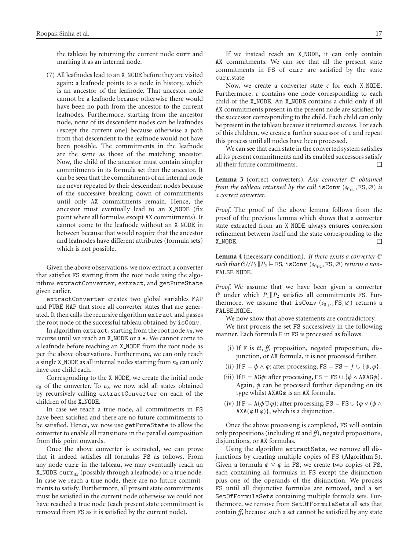the tableau by returning the current node curr and marking it as an internal node.

(7) All leafnodes lead to an X NODE before they are visited again: a leafnode points to a node in history, which is an ancestor of the leafnode. That ancestor node cannot be a leafnode because otherwise there would have been no path from the ancestor to the current leafnodes. Furthermore, starting from the ancestor node, none of its descendent nodes can be leafnodes (except the current one) because otherwise a path from that descendent to the leafnode would not have been possible. The commitments in the leafnode are the same as those of the matching ancestor. Now, the child of the ancestor must contain simpler commitments in its formula set than the ancestor. It can be seen that the commitments of an internal node are never repeated by their descendent nodes because of the successive breaking down of commitments until only AX commitments remain. Hence, the ancestor must eventually lead to an X NODE (fix point where all formulas except AX commitments). It cannot come to the leafnode without an X NODE in between because that would require that the ancestor and leafnodes have different attributes (formula sets) which is not possible.

Given the above observations, we now extract a converter that satisfies FS starting from the root node using the algorithms extractConverter, extract, and getPureState given earlier.

extractConverter creates two global variables MAP and PURE MAP that store all converter states that are generated. It then calls the recursive algorithm extract and passes the root node of the successful tableau obtained by isConv.

In algorithm extract, starting from the root node  $n_0$ , we recurse until we reach an X NODE or a •. We cannot come to a leafnode before reaching an X NODE from the root node as per the above observations. Furthermore, we can only reach a single X\_NODE as all internal nodes starting from  $n_0$  can only have one child each.

Corresponding to the X NODE, we create the initial node *c*<sup>0</sup> of the converter. To *c*0, we now add all states obtained by recursively calling extractConverter on each of the children of the X NODE.

In case we reach a true node, all commitments in FS have been satisfied and there are no future commitments to be satisfied. Hence, we now use getPureState to allow the converter to enable all transitions in the parallel composition from this point onwards.

Once the above converter is extracted, we can prove that it indeed satisfies all formulas FS as follows. From any node curr in the tableau, we may eventually reach an X NODE curr*ax* (possibly through a leafnode) or a true node. In case we reach a true node, there are no future commitments to satisfy. Furthermore, all present state commitments must be satisfied in the current node otherwise we could not have reached a true node (each present state commitment is removed from FS as it is satisfied by the current node).

If we instead reach an X NODE, it can only contain AX commitments. We can see that all the present state commitments in FS of curr are satisfied by the state curr.state.

Now, we create a converter state *c* for each X NODE. Furthermore, *c* contains one node corresponding to each child of the X NODE. An X NODE contains a child only if all AX commitments present in the present node are satisfied by the successor corresponding to the child. Each child can only be present in the tableau because it returned success. For each of this children, we create a further successor of *c* and repeat this process until all nodes have been processed.

We can see that each state in the converted system satisfies all its present commitments and its enabled successors satisfy all their future commitments. П

**Lemma 3** (correct converters). *Any converter* C *obtained from the tableau returned by the call* isConv  $(s_{0_{112}}, FS, \emptyset)$  *is a correct converter.*

*Proof.* The proof of the above lemma follows from the proof of the previous lemma which shows that a converter state extracted from an X NODE always ensures conversion refinement between itself and the state corresponding to the X NODE. П

**Lemma 4** (necessary condition). *If there exists a converter* C  $\int \frac{1}{2}$  *such that*  $C$ // $P_1 \parallel P_2 \models FS$ , isConv  $(s_{0_{1|2}}, FS, \emptyset)$  *returns a non-*FALSE NODE*.*

*Proof.* We assume that we have been given a converter C under which  $P_1||P_2$  satisfies all commitments FS. Furthermore, we assume that isConv  $(s_{0<sub>112</sub>}, FS, \emptyset)$  returns a FALSE NODE.

We now show that above statements are contradictory.

We first process the set FS successively in the following manner. Each formula F in FS is processed as follows.

- (i) If F is *tt*, *ff*, proposition, negated proposition, disjunction, or AX formula, it is not processed further.
- (ii) If  $F = \phi \land \phi$ : after processing,  $FS = FS f \cup {\phi, \phi}.$
- (iii) If  $F = AG\phi$ : after processing,  $FS = FS \cup {\phi \land AXAG\phi}$ . Again,  $\phi$  can be processed further depending on its type whilst AXAG*φ* is an AX formula.
- (iv) If  $F = A(\phi \cup \phi)$ : after processing,  $FS = FS \cup {\phi \vee (\phi \wedge \phi)}$  $AXA(\phi \cup \varphi)$ , which is a disjunction.

Once the above processing is completed, FS will contain only propositions (including *tt* and *ff*), negated propositions, disjunctions, or AX formulas.

Using the algorithm extractSets, we remove all disjunctions by creating multiple copies of FS (Algorithm 5). Given a formula  $\phi \lor \phi$  in FS, we create two copies of FS, each containing all formulas in FS except the disjunction plus one of the operands of the disjunction. We process FS until all disjunctive formulas are removed, and a set SetOfFormulaSets containing multiple formula sets. Furthermore, we remove from SetOfFormulaSets all sets that contain *ff*, because such a set cannot be satisfied by any state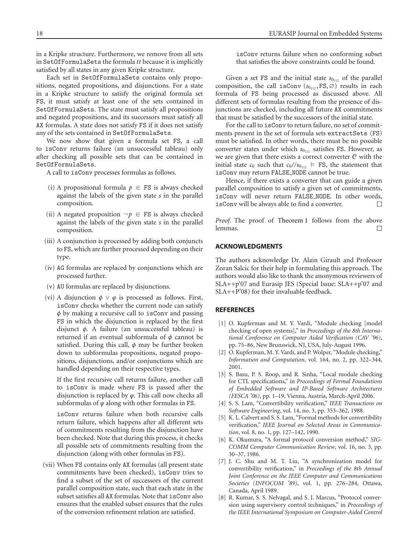in a Kripke structure. Furthermore, we remove from all sets in SetOfFormulaSets the formula *tt* because it is implicitly satisfied by all states in any given Kripke structure.

Each set in SetOfFormulaSets contains only propositions, negated propositions, and disjunctions. For a state in a Kripke structure to satisfy the original formula set FS, it must satisfy at least one of the sets contained in SetOfFormulaSets. The state must satisfy all propositions and negated propositions, and its successors must satisfy all AX formulas. A state does not satisfy FS if it does not satisfy any of the sets contained in SetOfFormulaSets.

We now show that given a formula set FS, a call to isConv returns failure (an unsuccessful tableau) only after checking all possible sets that can be contained in SetOfFormulaSets.

A call to isConv processes formulas as follows.

- (i) A propositional formula  $p \in FS$  is always checked against the labels of the given state *s* in the parallel composition.
- (ii) A negated proposition  $\neg p \in FS$  is always checked against the labels of the given state *s* in the parallel composition.
- (iii) A conjunction is processed by adding both conjuncts to FS, which are further processed depending on their type.
- (iv) AG formulas are replaced by conjunctions which are processed further.
- (v) AU formulas are replaced by disjunctions.
- (vi) A disjunction  $\phi \lor \phi$  is processed as follows. First, isConv checks whether the current node can satisfy *φ* by making a recursive call to isConv and passing FS in which the disjunction is replaced by the first disjunct *φ*. A failure (an unsuccessful tableau) is returned if an eventual subformula of *φ* cannot be satisfied. During this call,  $\phi$  may be further broken down to subformulas propositions, negated propositions, disjunctions, and/or conjunctions which are handled depending on their respective types.

If the first recursive call returns failure, another call to isConv is made where FS is passed after the disjunction is replaced by *ϕ*. This call now checks all subformulas of *ϕ* along with other formulas in FS.

isConv returns failure when both recursive calls return failure, which happens after all different sets of commitments resulting from the disjunction have been checked. Note that during this process, it checks all possible sets of commitments resulting from the disjunction (along with other formulas in FS).

(vii) When FS contains only AX formulas (all present state commitments have been checked), isConv tries to find a subset of the set of successors of the current parallel composition state, such that each state in the subset satisfies all AX formulas. Note that isConv also ensures that the enabled subset ensures that the rules of the conversion refinement relation are satisfied.

isConv returns failure when no conforming subset that satisfies the above constraints could be found.

Given a set FS and the initial state  $s_{0_{1|2}}$  of the parallel composition, the call isConv ( $s_{01|2}$ , FS, ∅) results in each formula of FS being processed as discussed above. All different sets of formulas resulting from the presence of disjunctions are checked, including all future AX commitments that must be satisfied by the successors of the initial state.

For the call to isConv to return failure, no set of commitments present in the set of formula sets extractSets (FS) must be satisfied. In other words, there must be no possible converter states under which  $s_{0_{1|2}}$  satisfies FS. However, as we are given that there exists a correct converter  $C$  with the initial state  $c_0$  such that  $c_0$ // $s_{0_1}$  = FS, the statement that isConv may return FALSE NODE cannot be true.

Hence, if there exists a converter that can guide a given parallel composition to satisfy a given set of commitments, isConv will never return FALSE NODE. In other words, isConv will be always able to find a converter. □

*Proof.* The proof of Theorem 1 follows from the above lemmas. П

# **ACKNOWLEDGMENTS**

The authors acknowledge Dr. Alain Girault and Professor Zoran Salcic for their help in formulating this approach. The authors would also like to thank the anonymous reviewers of SLA++p'07 and Eurasip JES (Special Issue: SLA++p'07 and SLA++P'08) for their invaluable feedback.

# **REFERENCES**

- [1] O. Kupferman and M. Y. Vardi, "Module checking [model checking of open systems]," in *Proceedings of the 8th International Conference on Computer Aided Verification (CAV '96)*, pp. 75–86, New Brunswick, NJ, USA, July-August 1996.
- [2] O. Kupferman, M. Y. Vardi, and P. Wolper, "Module checking," *Information and Computation*, vol. 164, no. 2, pp. 322–344, 2001.
- [3] S. Basu, P. S. Roop, and R. Sinha, "Local module checking for CTL specifications," in *Proceedings of Formal Foundations of Embedded Software and IP-Based Software Architectures (FESCA '06)*, pp. 1–19, Vienna, Austria, March-April 2006.
- [4] S. S. Lam, "Convertibility verification," *IEEE Transactions on Software Engineering*, vol. 14, no. 3, pp. 353–362, 1988.
- [5] K. L. Calvert and S. S. Lam, "Formal methods for convertibility verification," *IEEE Journal on Selected Areas in Communication*, vol. 8, no. 1, pp. 127–142, 1990.
- [6] K. Okumura, "A formal protocol conversion method," *SIG-COMM Computer Communication Review*, vol. 16, no. 3, pp. 30–37, 1986.
- [7] J. C. Shu and M. T. Liu, "A synchronization model for convertibility verification," in *Proceedings of the 8th Annual Joint Conference on the IEEE Computer and Communications Societies (INFOCOM '89)*, vol. 1, pp. 276–284, Ottawa, Canada, April 1989.
- [8] R. Kumar, S. S. Nelvagal, and S. I. Marcus, "Protocol conversion using supervisory control techniques," in *Proceedings of the IEEE International Symposium on Computer-Aided Control*